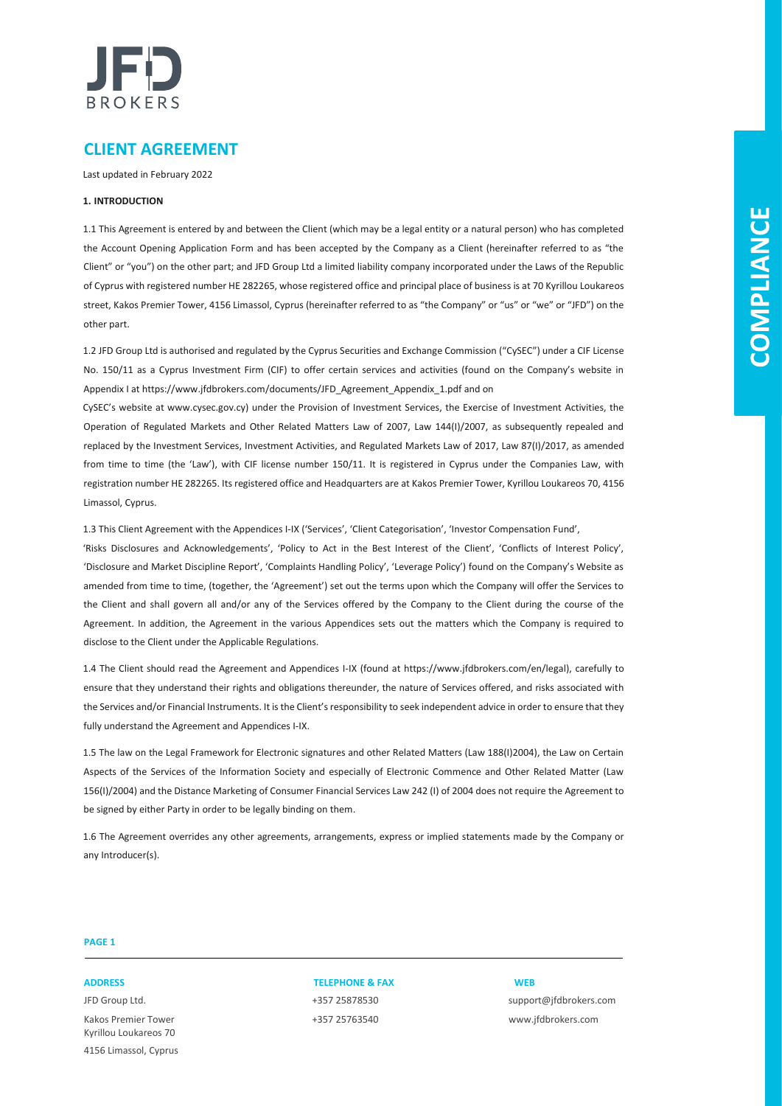

### **CLIENT AGREEMENT**

Last updated in February 2022

#### **1. INTRODUCTION**

1.1 This Agreement is entered by and between the Client (which may be a legal entity or a natural person) who has completed the Account Opening Application Form and has been accepted by the Company as a Client (hereinafter referred to as "the Client" or "you") on the other part; and JFD Group Ltd a limited liability company incorporated under the Laws of the Republic of Cyprus with registered number HE 282265, whose registered office and principal place of business is at 70 Kyrillou Loukareos street, Kakos Premier Tower, 4156 Limassol, Cyprus (hereinafter referred to as "the Company" or "us" or "we" or "JFD") on the other part.

1.2 JFD Group Ltd is authorised and regulated by the Cyprus Securities and Exchange Commission ("CySEC") under a CIF License No. 150/11 as a Cyprus Investment Firm (CIF) to offer certain services and activities (found on the Company's website in Appendix I at https://www.jfdbrokers.com/documents/JFD\_Agreement\_Appendix\_1.pdf and on

CySEC's website at www.cysec.gov.cy) under the Provision of Investment Services, the Exercise of Investment Activities, the Operation of Regulated Markets and Other Related Matters Law of 2007, Law 144(I)/2007, as subsequently repealed and replaced by the Investment Services, Investment Activities, and Regulated Markets Law of 2017, Law 87(I)/2017, as amended from time to time (the 'Law'), with CIF license number 150/11. It is registered in Cyprus under the Companies Law, with registration number HE 282265. Its registered office and Headquarters are at Kakos Premier Tower, Kyrillou Loukareos 70, 4156 Limassol, Cyprus.

1.3 This Client Agreement with the Appendices I-IX ('Services', 'Client Categorisation', 'Investor Compensation Fund',

'Risks Disclosures and Acknowledgements', 'Policy to Act in the Best Interest of the Client', 'Conflicts of Interest Policy', 'Disclosure and Market Discipline Report', 'Complaints Handling Policy', 'Leverage Policy') found on the Company's Website as amended from time to time, (together, the 'Agreement') set out the terms upon which the Company will offer the Services to the Client and shall govern all and/or any of the Services offered by the Company to the Client during the course of the Agreement. In addition, the Agreement in the various Appendices sets out the matters which the Company is required to disclose to the Client under the Applicable Regulations.

1.4 The Client should read the Agreement and Appendices I-IX (found at https://www.jfdbrokers.com/en/legal), carefully to ensure that they understand their rights and obligations thereunder, the nature of Services offered, and risks associated with the Services and/or Financial Instruments. It is the Client's responsibility to seek independent advice in order to ensure that they fully understand the Agreement and Appendices I-IX.

1.5 The law on the Legal Framework for Electronic signatures and other Related Matters (Law 188(I)2004), the Law on Certain Aspects of the Services of the Information Society and especially of Electronic Commence and Other Related Matter (Law 156(I)/2004) and the Distance Marketing of Consumer Financial Services Law 242 (I) of 2004 does not require the Agreement to be signed by either Party in order to be legally binding on them.

1.6 The Agreement overrides any other agreements, arrangements, express or implied statements made by the Company or any Introducer(s).

### **PAGE 1**

Kakos Premier Tower +357 25763540 www.jfdbrokers.com Kyrillou Loukareos 70 4156 Limassol, Cyprus

### **ADDRESS TELEPHONE & FAX WEB**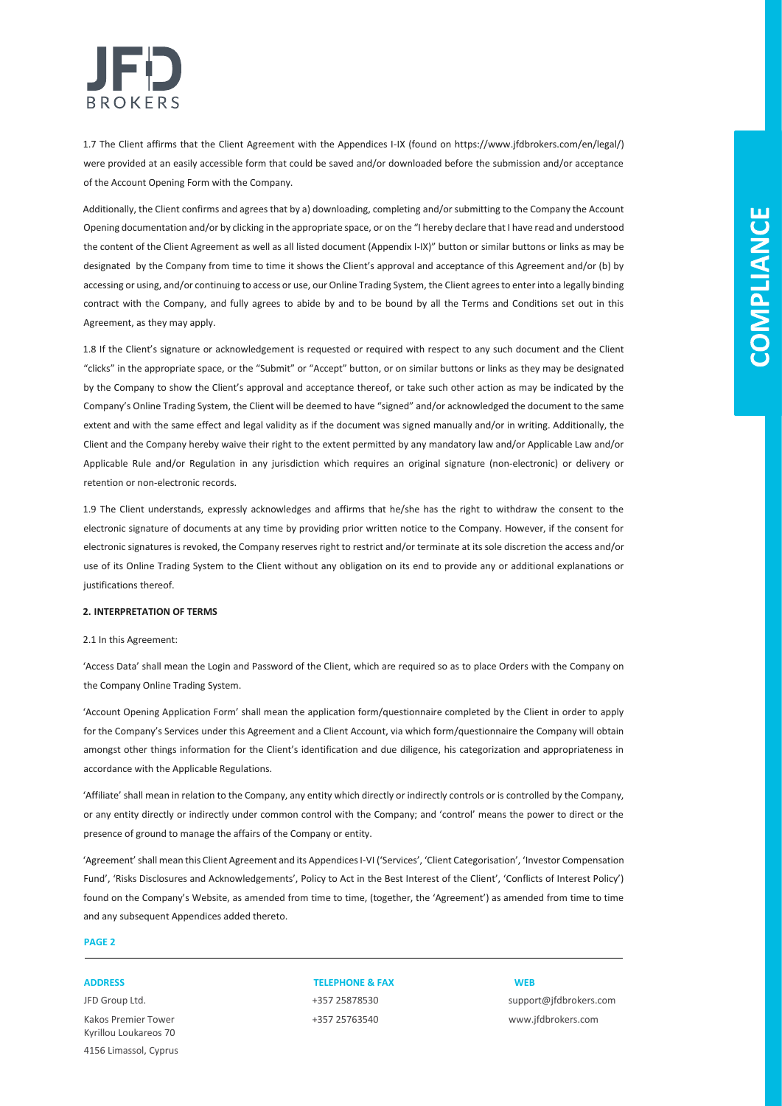

1.7 The Client affirms that the Client Agreement with the Appendices I-IX (found on https://www.jfdbrokers.com/en/legal/) were provided at an easily accessible form that could be saved and/or downloaded before the submission and/or acceptance of the Account Opening Form with the Company.

Additionally, the Client confirms and agrees that by a) downloading, completing and/or submitting to the Company the Account Opening documentation and/or by clicking in the appropriate space, or on the "I hereby declare that I have read and understood the content of the Client Agreement as well as all listed document (Appendix I-IX)" button or similar buttons or links as may be designated by the Company from time to time it shows the Client's approval and acceptance of this Agreement and/or (b) by accessing or using, and/or continuing to access or use, our Online Trading System, the Client agrees to enter into a legally binding contract with the Company, and fully agrees to abide by and to be bound by all the Terms and Conditions set out in this Agreement, as they may apply.

1.8 If the Client's signature or acknowledgement is requested or required with respect to any such document and the Client "clicks" in the appropriate space, or the "Submit" or "Accept" button, or on similar buttons or links as they may be designated by the Company to show the Client's approval and acceptance thereof, or take such other action as may be indicated by the Company's Online Trading System, the Client will be deemed to have "signed" and/or acknowledged the document to the same extent and with the same effect and legal validity as if the document was signed manually and/or in writing. Additionally, the Client and the Company hereby waive their right to the extent permitted by any mandatory law and/or Applicable Law and/or Applicable Rule and/or Regulation in any jurisdiction which requires an original signature (non-electronic) or delivery or retention or non-electronic records.

1.9 The Client understands, expressly acknowledges and affirms that he/she has the right to withdraw the consent to the electronic signature of documents at any time by providing prior written notice to the Company. However, if the consent for electronic signatures is revoked, the Company reserves right to restrict and/or terminate at its sole discretion the access and/or use of its Online Trading System to the Client without any obligation on its end to provide any or additional explanations or justifications thereof.

#### **2. INTERPRETATION OF TERMS**

#### 2.1 In this Agreement:

'Access Data' shall mean the Login and Password of the Client, which are required so as to place Orders with the Company on the Company Online Trading System.

'Account Opening Application Form' shall mean the application form/questionnaire completed by the Client in order to apply for the Company's Services under this Agreement and a Client Account, via which form/questionnaire the Company will obtain amongst other things information for the Client's identification and due diligence, his categorization and appropriateness in accordance with the Applicable Regulations.

'Affiliate' shall mean in relation to the Company, any entity which directly or indirectly controls or is controlled by the Company, or any entity directly or indirectly under common control with the Company; and 'control' means the power to direct or the presence of ground to manage the affairs of the Company or entity.

'Agreement' shall mean this Client Agreement and its Appendices I-VI ('Services', 'Client Categorisation', 'Investor Compensation Fund', 'Risks Disclosures and Acknowledgements', Policy to Act in the Best Interest of the Client', 'Conflicts of Interest Policy') found on the Company's Website, as amended from time to time, (together, the 'Agreement') as amended from time to time and any subsequent Appendices added thereto.

### **PAGE 2**

Kakos Premier Tower +357 25763540 www.jfdbrokers.com Kyrillou Loukareos 70 4156 Limassol, Cyprus

**ADDRESS TELEPHONE & FAX WEB**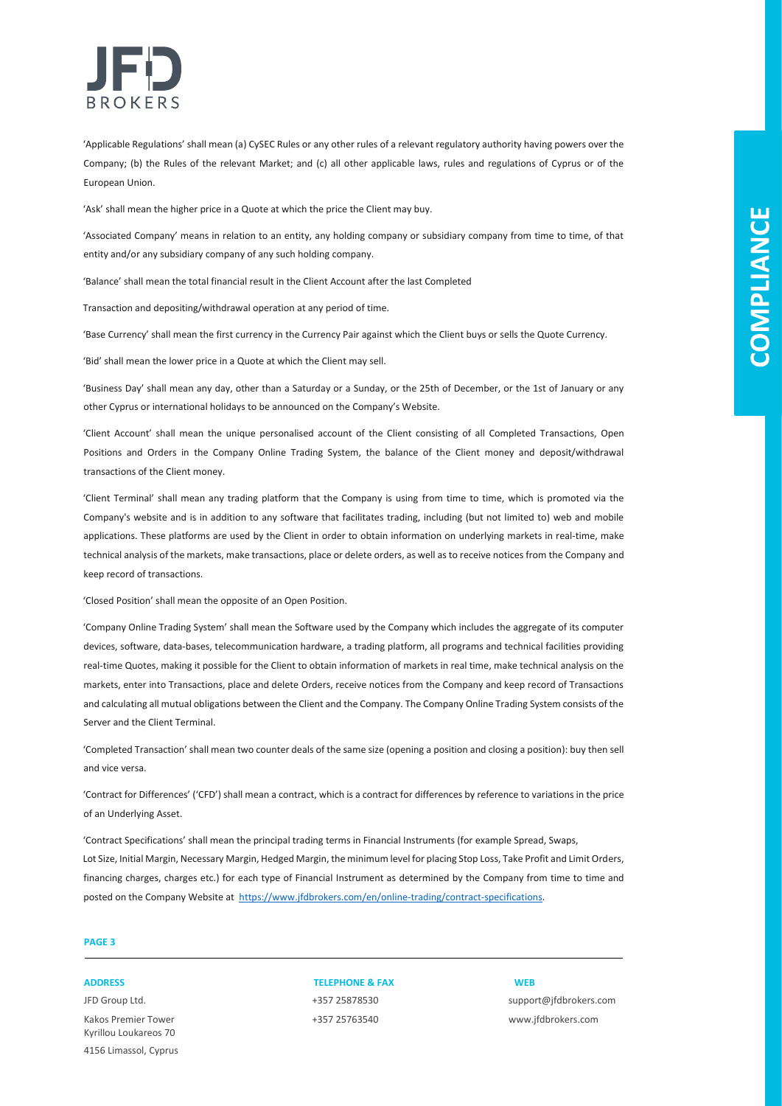

'Applicable Regulations' shall mean (a) CySEC Rules or any other rules of a relevant regulatory authority having powers over the Company; (b) the Rules of the relevant Market; and (c) all other applicable laws, rules and regulations of Cyprus or of the European Union.

'Ask' shall mean the higher price in a Quote at which the price the Client may buy.

'Associated Company' means in relation to an entity, any holding company or subsidiary company from time to time, of that entity and/or any subsidiary company of any such holding company.

'Balance' shall mean the total financial result in the Client Account after the last Completed

Transaction and depositing/withdrawal operation at any period of time.

'Base Currency' shall mean the first currency in the Currency Pair against which the Client buys or sells the Quote Currency.

'Bid' shall mean the lower price in a Quote at which the Client may sell.

'Business Day' shall mean any day, other than a Saturday or a Sunday, or the 25th of December, or the 1st of January or any other Cyprus or international holidays to be announced on the Company's Website.

'Client Account' shall mean the unique personalised account of the Client consisting of all Completed Transactions, Open Positions and Orders in the Company Online Trading System, the balance of the Client money and deposit/withdrawal transactions of the Client money.

'Client Terminal' shall mean any trading platform that the Company is using from time to time, which is promoted via the Company's website and is in addition to any software that facilitates trading, including (but not limited to) web and mobile applications. These platforms are used by the Client in order to obtain information on underlying markets in real-time, make technical analysis of the markets, make transactions, place or delete orders, as well as to receive notices from the Company and keep record of transactions.

'Closed Position' shall mean the opposite of an Open Position.

'Company Online Trading System' shall mean the Software used by the Company which includes the aggregate of its computer devices, software, data-bases, telecommunication hardware, a trading platform, all programs and technical facilities providing real-time Quotes, making it possible for the Client to obtain information of markets in real time, make technical analysis on the markets, enter into Transactions, place and delete Orders, receive notices from the Company and keep record of Transactions and calculating all mutual obligations between the Client and the Company. The Company Online Trading System consists of the Server and the Client Terminal.

'Completed Transaction' shall mean two counter deals of the same size (opening a position and closing a position): buy then sell and vice versa.

'Contract for Differences' ('CFD') shall mean a contract, which is a contract for differences by reference to variations in the price of an Underlying Asset.

'Contract Specifications' shall mean the principal trading terms in Financial Instruments (for example Spread, Swaps, Lot Size, Initial Margin, Necessary Margin, Hedged Margin, the minimum level for placing Stop Loss, Take Profit and Limit Orders, financing charges, charges etc.) for each type of Financial Instrument as determined by the Company from time to time and posted on the Company Website [at](https://www.jfdbank.com/en/online-trading/) [https://www.jfdbrokers.com/en/online-trading/contract-specifications.](https://www.jfdbrokers.com/en/online-trading/contract-specifications)

### **PAGE 3**

Kakos Premier Tower +357 25763540 www.jfdbrokers.com Kyrillou Loukareos 70 4156 Limassol, Cyprus

### **ADDRESS TELEPHONE & FAX WEB**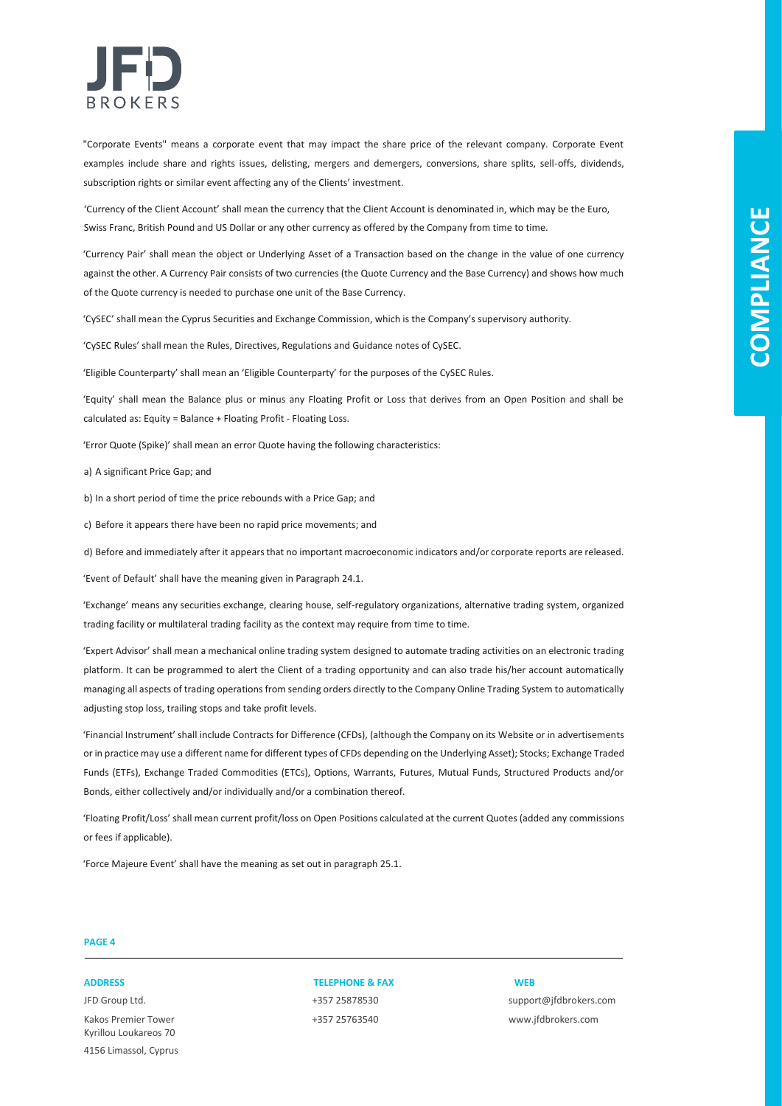

"Corporate Events" means a corporate event that may impact the share price of the relevant company. Corporate Event examples include share and rights issues, delisting, mergers and demergers, conversions, share splits, sell-offs, dividends, subscription rights or similar event affecting any of the Clients' investment.

'Currency of the Client Account' shall mean the currency that the Client Account is denominated in, which may be the Euro, Swiss Franc, British Pound and US Dollar or any other currency as offered by the Company from time to time.

'Currency Pair' shall mean the object or Underlying Asset of a Transaction based on the change in the value of one currency against the other. A Currency Pair consists of two currencies (the Quote Currency and the Base Currency) and shows how much of the Quote currency is needed to purchase one unit of the Base Currency.

'CySEC' shall mean the Cyprus Securities and Exchange Commission, which is the Company's supervisory authority.

'CySEC Rules' shall mean the Rules, Directives, Regulations and Guidance notes of CySEC.

'Eligible Counterparty' shall mean an 'Eligible Counterparty' for the purposes of the CySEC Rules.

'Equity' shall mean the Balance plus or minus any Floating Profit or Loss that derives from an Open Position and shall be calculated as: Equity = Balance + Floating Profit - Floating Loss.

'Error Quote (Spike)' shall mean an error Quote having the following characteristics:

a) A significant Price Gap; and

b) In a short period of time the price rebounds with a Price Gap; and

c) Before it appears there have been no rapid price movements; and

d) Before and immediately after it appears that no important macroeconomic indicators and/or corporate reports are released.

'Event of Default' shall have the meaning given in Paragraph 24.1.

'Exchange' means any securities exchange, clearing house, self-regulatory organizations, alternative trading system, organized trading facility or multilateral trading facility as the context may require from time to time.

'Expert Advisor' shall mean a mechanical online trading system designed to automate trading activities on an electronic trading platform. It can be programmed to alert the Client of a trading opportunity and can also trade his/her account automatically managing all aspects of trading operations from sending orders directly to the Company Online Trading System to automatically adjusting stop loss, trailing stops and take profit levels.

'Financial Instrument' shall include Contracts for Difference (CFDs), (although the Company on its Website or in advertisements or in practice may use a different name for different types of CFDs depending on the Underlying Asset); Stocks; Exchange Traded Funds (ETFs), Exchange Traded Commodities (ETCs), Options, Warrants, Futures, Mutual Funds, Structured Products and/or Bonds, either collectively and/or individually and/or a combination thereof.

'Floating Profit/Loss' shall mean current profit/loss on Open Positions calculated at the current Quotes (added any commissions or fees if applicable).

'Force Majeure Event' shall have the meaning as set out in paragraph 25.1.

### **PAGE 4**

Kakos Premier Tower +357 25763540 www.jfdbrokers.com Kyrillou Loukareos 70 4156 Limassol, Cyprus

### **ADDRESS TELEPHONE & FAX WEB**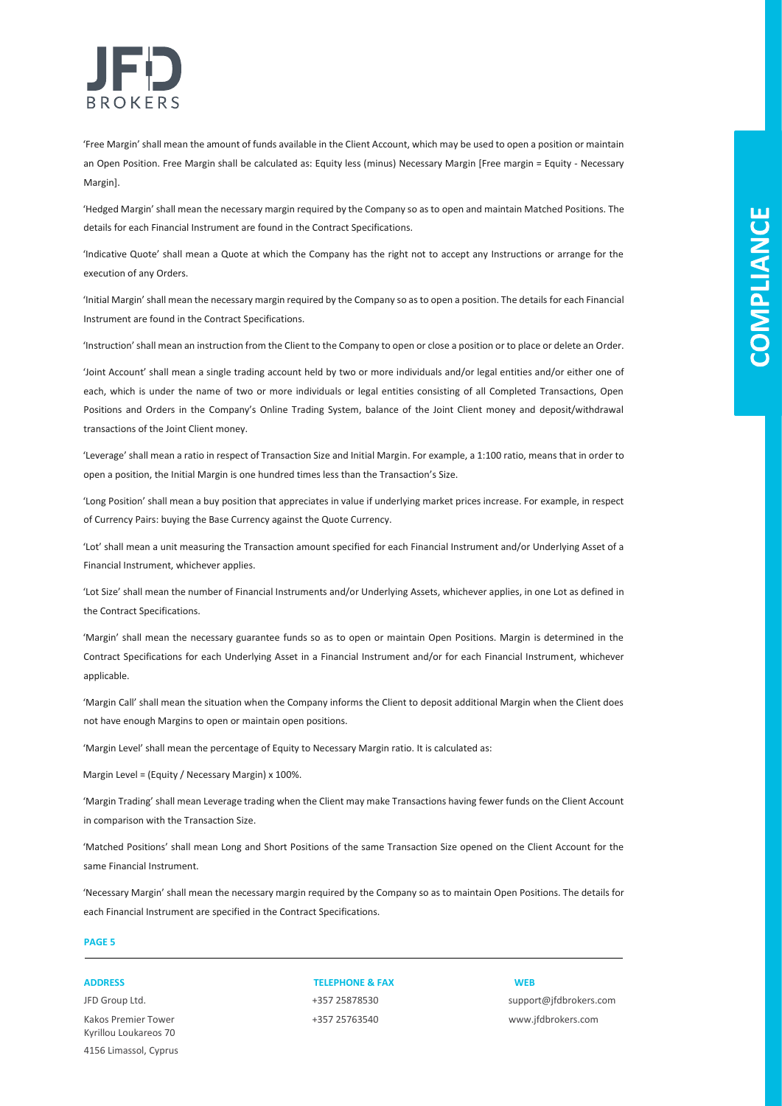

'Free Margin' shall mean the amount of funds available in the Client Account, which may be used to open a position or maintain an Open Position. Free Margin shall be calculated as: Equity less (minus) Necessary Margin [Free margin = Equity - Necessary Margin].

'Hedged Margin' shall mean the necessary margin required by the Company so as to open and maintain Matched Positions. The details for each Financial Instrument are found in the Contract Specifications.

'Indicative Quote' shall mean a Quote at which the Company has the right not to accept any Instructions or arrange for the execution of any Orders.

'Initial Margin' shall mean the necessary margin required by the Company so as to open a position. The details for each Financial Instrument are found in the Contract Specifications.

'Instruction' shall mean an instruction from the Client to the Company to open or close a position or to place or delete an Order.

'Joint Account' shall mean a single trading account held by two or more individuals and/or legal entities and/or either one of each, which is under the name of two or more individuals or legal entities consisting of all Completed Transactions, Open Positions and Orders in the Company's Online Trading System, balance of the Joint Client money and deposit/withdrawal transactions of the Joint Client money.

'Leverage' shall mean a ratio in respect of Transaction Size and Initial Margin. For example, a 1:100 ratio, means that in order to open a position, the Initial Margin is one hundred times less than the Transaction's Size.

'Long Position' shall mean a buy position that appreciates in value if underlying market prices increase. For example, in respect of Currency Pairs: buying the Base Currency against the Quote Currency.

'Lot' shall mean a unit measuring the Transaction amount specified for each Financial Instrument and/or Underlying Asset of a Financial Instrument, whichever applies.

'Lot Size' shall mean the number of Financial Instruments and/or Underlying Assets, whichever applies, in one Lot as defined in the Contract Specifications.

'Margin' shall mean the necessary guarantee funds so as to open or maintain Open Positions. Margin is determined in the Contract Specifications for each Underlying Asset in a Financial Instrument and/or for each Financial Instrument, whichever applicable.

'Margin Call' shall mean the situation when the Company informs the Client to deposit additional Margin when the Client does not have enough Margins to open or maintain open positions.

'Margin Level' shall mean the percentage of Equity to Necessary Margin ratio. It is calculated as:

Margin Level = (Equity / Necessary Margin) x 100%.

'Margin Trading' shall mean Leverage trading when the Client may make Transactions having fewer funds on the Client Account in comparison with the Transaction Size.

'Matched Positions' shall mean Long and Short Positions of the same Transaction Size opened on the Client Account for the same Financial Instrument.

'Necessary Margin' shall mean the necessary margin required by the Company so as to maintain Open Positions. The details for each Financial Instrument are specified in the Contract Specifications.

### **PAGE 5**

Kakos Premier Tower +357 25763540 www.jfdbrokers.com Kyrillou Loukareos 70 4156 Limassol, Cyprus

**ADDRESS TELEPHONE & FAX WEB**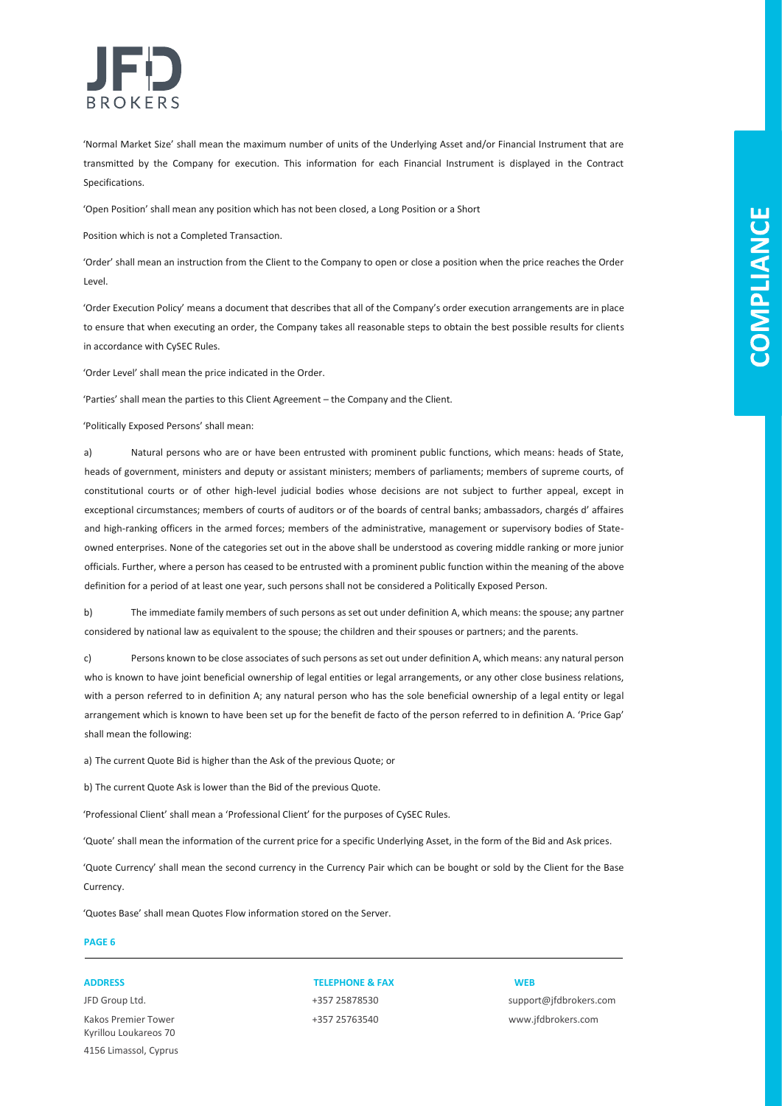

'Normal Market Size' shall mean the maximum number of units of the Underlying Asset and/or Financial Instrument that are transmitted by the Company for execution. This information for each Financial Instrument is displayed in the Contract Specifications.

'Open Position' shall mean any position which has not been closed, a Long Position or a Short

Position which is not a Completed Transaction.

'Order' shall mean an instruction from the Client to the Company to open or close a position when the price reaches the Order Level.

'Order Execution Policy' means a document that describes that all of the Company's order execution arrangements are in place to ensure that when executing an order, the Company takes all reasonable steps to obtain the best possible results for clients in accordance with CySEC Rules.

'Order Level' shall mean the price indicated in the Order.

'Parties' shall mean the parties to this Client Agreement – the Company and the Client.

'Politically Exposed Persons' shall mean:

a) Natural persons who are or have been entrusted with prominent public functions, which means: heads of State, heads of government, ministers and deputy or assistant ministers; members of parliaments; members of supreme courts, of constitutional courts or of other high-level judicial bodies whose decisions are not subject to further appeal, except in exceptional circumstances; members of courts of auditors or of the boards of central banks; ambassadors, chargés d' affaires and high-ranking officers in the armed forces; members of the administrative, management or supervisory bodies of Stateowned enterprises. None of the categories set out in the above shall be understood as covering middle ranking or more junior officials. Further, where a person has ceased to be entrusted with a prominent public function within the meaning of the above definition for a period of at least one year, such persons shall not be considered a Politically Exposed Person.

b) The immediate family members of such persons as set out under definition A, which means: the spouse; any partner considered by national law as equivalent to the spouse; the children and their spouses or partners; and the parents.

c) Persons known to be close associates of such persons as set out under definition A, which means: any natural person who is known to have joint beneficial ownership of legal entities or legal arrangements, or any other close business relations, with a person referred to in definition A; any natural person who has the sole beneficial ownership of a legal entity or legal arrangement which is known to have been set up for the benefit de facto of the person referred to in definition A. 'Price Gap' shall mean the following:

a) The current Quote Bid is higher than the Ask of the previous Quote; or

b) The current Quote Ask is lower than the Bid of the previous Quote.

'Professional Client' shall mean a 'Professional Client' for the purposes of CySEC Rules.

'Quote' shall mean the information of the current price for a specific Underlying Asset, in the form of the Bid and Ask prices.

'Quote Currency' shall mean the second currency in the Currency Pair which can be bought or sold by the Client for the Base Currency.

'Quotes Base' shall mean Quotes Flow information stored on the Server.

### **PAGE 6**

Kakos Premier Tower +357 25763540 www.jfdbrokers.com Kyrillou Loukareos 70 4156 Limassol, Cyprus

### **ADDRESS TELEPHONE & FAX WEB**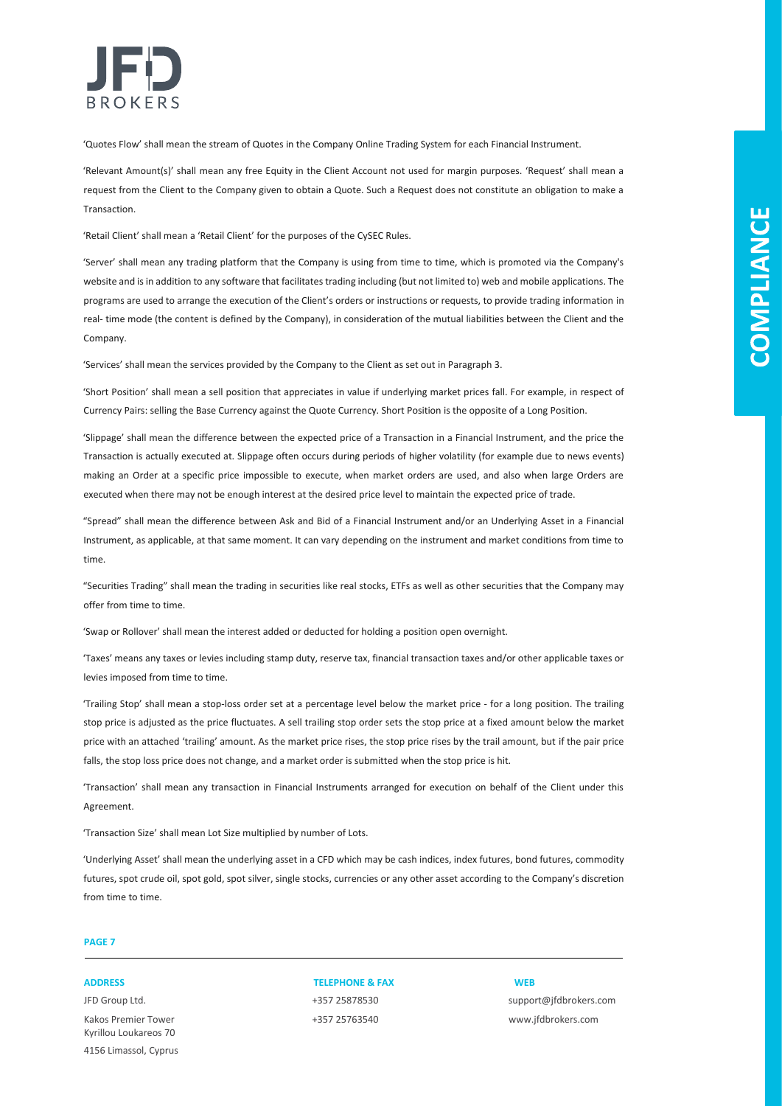

'Quotes Flow' shall mean the stream of Quotes in the Company Online Trading System for each Financial Instrument.

'Relevant Amount(s)' shall mean any free Equity in the Client Account not used for margin purposes. 'Request' shall mean a request from the Client to the Company given to obtain a Quote. Such a Request does not constitute an obligation to make a Transaction.

'Retail Client' shall mean a 'Retail Client' for the purposes of the CySEC Rules.

'Server' shall mean any trading platform that the Company is using from time to time, which is promoted via the Company's website and is in addition to any software that facilitates trading including (but not limited to) web and mobile applications. The programs are used to arrange the execution of the Client's orders or instructions or requests, to provide trading information in real- time mode (the content is defined by the Company), in consideration of the mutual liabilities between the Client and the Company.

'Services' shall mean the services provided by the Company to the Client as set out in Paragraph 3.

'Short Position' shall mean a sell position that appreciates in value if underlying market prices fall. For example, in respect of Currency Pairs: selling the Base Currency against the Quote Currency. Short Position is the opposite of a Long Position.

'Slippage' shall mean the difference between the expected price of a Transaction in a Financial Instrument, and the price the Transaction is actually executed at. Slippage often occurs during periods of higher volatility (for example due to news events) making an Order at a specific price impossible to execute, when market orders are used, and also when large Orders are executed when there may not be enough interest at the desired price level to maintain the expected price of trade.

"Spread" shall mean the difference between Ask and Bid of a Financial Instrument and/or an Underlying Asset in a Financial Instrument, as applicable, at that same moment. It can vary depending on the instrument and market conditions from time to time.

"Securities Trading" shall mean the trading in securities like real stocks, ETFs as well as other securities that the Company may offer from time to time.

'Swap or Rollover' shall mean the interest added or deducted for holding a position open overnight.

'Taxes' means any taxes or levies including stamp duty, reserve tax, financial transaction taxes and/or other applicable taxes or levies imposed from time to time.

'Trailing Stop' shall mean a stop-loss order set at a percentage level below the market price - for a long position. The trailing stop price is adjusted as the price fluctuates. A sell trailing stop order sets the stop price at a fixed amount below the market price with an attached 'trailing' amount. As the market price rises, the stop price rises by the trail amount, but if the pair price falls, the stop loss price does not change, and a market order is submitted when the stop price is hit.

'Transaction' shall mean any transaction in Financial Instruments arranged for execution on behalf of the Client under this Agreement.

'Transaction Size' shall mean Lot Size multiplied by number of Lots.

'Underlying Asset' shall mean the underlying asset in a CFD which may be cash indices, index futures, bond futures, commodity futures, spot crude oil, spot gold, spot silver, single stocks, currencies or any other asset according to the Company's discretion from time to time.

### **PAGE 7**

Kakos Premier Tower +357 25763540 www.jfdbrokers.com Kyrillou Loukareos 70 4156 Limassol, Cyprus

**ADDRESS TELEPHONE & FAX WEB**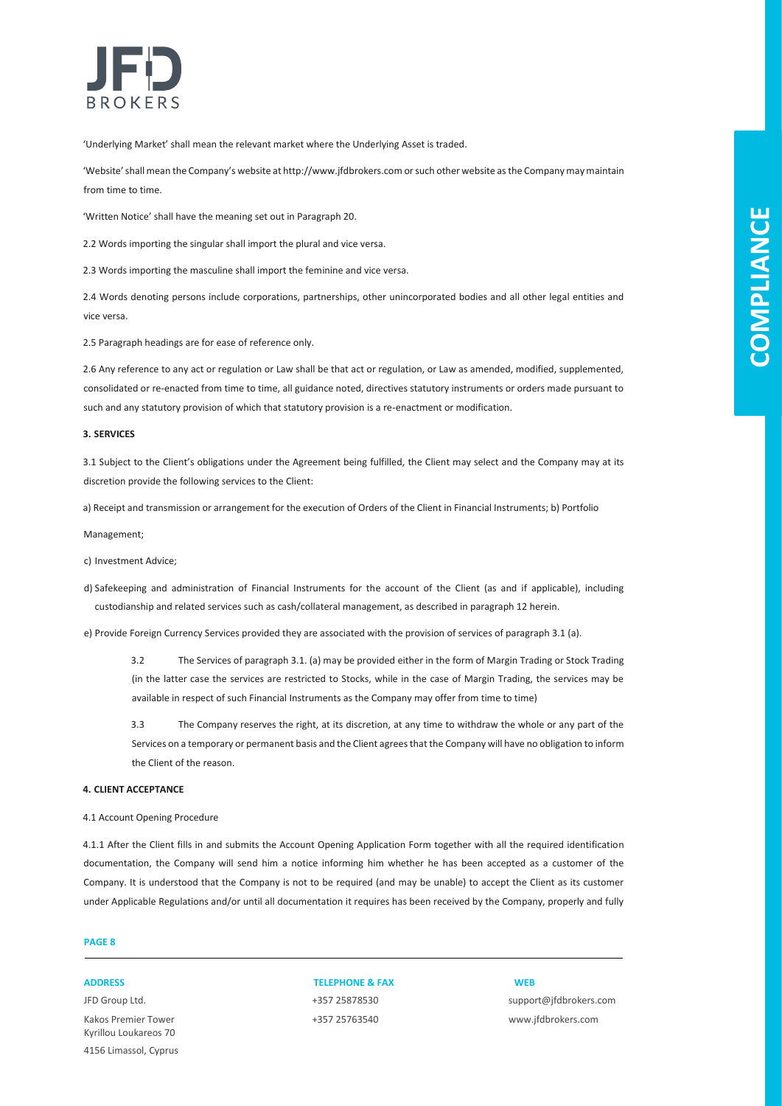

'Underlying Market' shall mean the relevant market where the Underlying Asset is traded.

'Website' shall mean the Company's website at http://www.jfdbrokers.com or such other website as the Company may maintain from time to time.

'Written Notice' shall have the meaning set out in Paragraph 20.

2.2 Words importing the singular shall import the plural and vice versa.

2.3 Words importing the masculine shall import the feminine and vice versa.

2.4 Words denoting persons include corporations, partnerships, other unincorporated bodies and all other legal entities and vice versa.

2.5 Paragraph headings are for ease of reference only.

2.6 Any reference to any act or regulation or Law shall be that act or regulation, or Law as amended, modified, supplemented, consolidated or re-enacted from time to time, all guidance noted, directives statutory instruments or orders made pursuant to such and any statutory provision of which that statutory provision is a re-enactment or modification.

#### **3. SERVICES**

3.1 Subject to the Client's obligations under the Agreement being fulfilled, the Client may select and the Company may at its discretion provide the following services to the Client:

a) Receipt and transmission or arrangement for the execution of Orders of the Client in Financial Instruments; b) Portfolio

Management;

c) Investment Advice;

d) Safekeeping and administration of Financial Instruments for the account of the Client (as and if applicable), including custodianship and related services such as cash/collateral management, as described in paragraph 12 herein.

e) Provide Foreign Currency Services provided they are associated with the provision of services of paragraph 3.1 (a).

3.2 The Services of paragraph 3.1. (a) may be provided either in the form of Margin Trading or Stock Trading (in the latter case the services are restricted to Stocks, while in the case of Margin Trading, the services may be available in respect of such Financial Instruments as the Company may offer from time to time)

3.3 The Company reserves the right, at its discretion, at any time to withdraw the whole or any part of the Services on a temporary or permanent basis and the Client agrees that the Company will have no obligation to inform the Client of the reason.

### **4. CLIENT ACCEPTANCE**

4.1 Account Opening Procedure

4.1.1 After the Client fills in and submits the Account Opening Application Form together with all the required identification documentation, the Company will send him a notice informing him whether he has been accepted as a customer of the Company. It is understood that the Company is not to be required (and may be unable) to accept the Client as its customer under Applicable Regulations and/or until all documentation it requires has been received by the Company, properly and fully

### **PAGE 8**

Kakos Premier Tower +357 25763540 www.jfdbrokers.com Kyrillou Loukareos 70 4156 Limassol, Cyprus

**ADDRESS TELEPHONE & FAX WEB**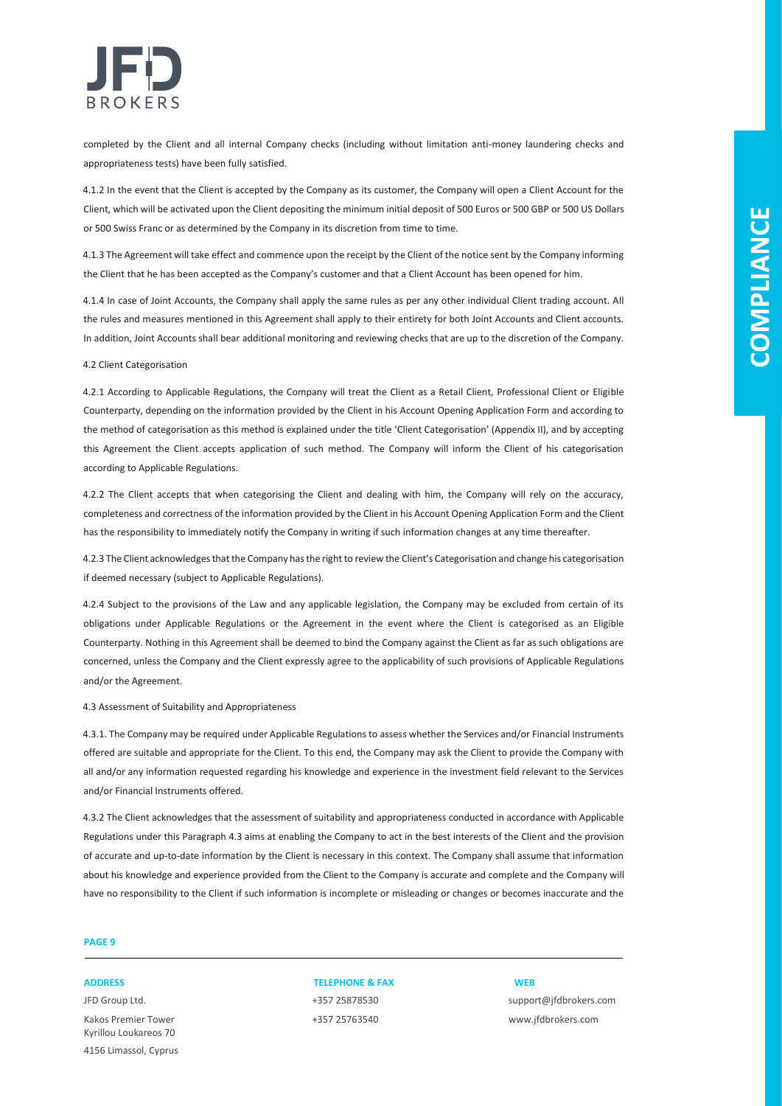

completed by the Client and all internal Company checks (including without limitation anti-money laundering checks and appropriateness tests) have been fully satisfied.

4.1.2 In the event that the Client is accepted by the Company as its customer, the Company will open a Client Account for the Client, which will be activated upon the Client depositing the minimum initial deposit of 500 Euros or 500 GBP or 500 US Dollars or 500 Swiss Franc or as determined by the Company in its discretion from time to time.

4.1.3 The Agreement will take effect and commence upon the receipt by the Client of the notice sent by the Company informing the Client that he has been accepted as the Company's customer and that a Client Account has been opened for him.

4.1.4 In case of Joint Accounts, the Company shall apply the same rules as per any other individual Client trading account. All the rules and measures mentioned in this Agreement shall apply to their entirety for both Joint Accounts and Client accounts. In addition, Joint Accounts shall bear additional monitoring and reviewing checks that are up to the discretion of the Company.

#### 4.2 Client Categorisation

4.2.1 According to Applicable Regulations, the Company will treat the Client as a Retail Client, Professional Client or Eligible Counterparty, depending on the information provided by the Client in his Account Opening Application Form and according to the method of categorisation as this method is explained under the title 'Client Categorisation' (Appendix II), and by accepting this Agreement the Client accepts application of such method. The Company will inform the Client of his categorisation according to Applicable Regulations.

4.2.2 The Client accepts that when categorising the Client and dealing with him, the Company will rely on the accuracy, completeness and correctness of the information provided by the Client in his Account Opening Application Form and the Client has the responsibility to immediately notify the Company in writing if such information changes at any time thereafter.

4.2.3 The Client acknowledges that the Company has the right to review the Client's Categorisation and change his categorisation if deemed necessary (subject to Applicable Regulations).

4.2.4 Subject to the provisions of the Law and any applicable legislation, the Company may be excluded from certain of its obligations under Applicable Regulations or the Agreement in the event where the Client is categorised as an Eligible Counterparty. Nothing in this Agreement shall be deemed to bind the Company against the Client as far as such obligations are concerned, unless the Company and the Client expressly agree to the applicability of such provisions of Applicable Regulations and/or the Agreement.

#### 4.3 Assessment of Suitability and Appropriateness

4.3.1. The Company may be required under Applicable Regulations to assess whether the Services and/or Financial Instruments offered are suitable and appropriate for the Client. To this end, the Company may ask the Client to provide the Company with all and/or any information requested regarding his knowledge and experience in the investment field relevant to the Services and/or Financial Instruments offered.

4.3.2 The Client acknowledges that the assessment of suitability and appropriateness conducted in accordance with Applicable Regulations under this Paragraph 4.3 aims at enabling the Company to act in the best interests of the Client and the provision of accurate and up-to-date information by the Client is necessary in this context. The Company shall assume that information about his knowledge and experience provided from the Client to the Company is accurate and complete and the Company will have no responsibility to the Client if such information is incomplete or misleading or changes or becomes inaccurate and the

### **PAGE 9**

Kakos Premier Tower +357 25763540 www.jfdbrokers.com Kyrillou Loukareos 70 4156 Limassol, Cyprus

### **ADDRESS TELEPHONE & FAX WEB**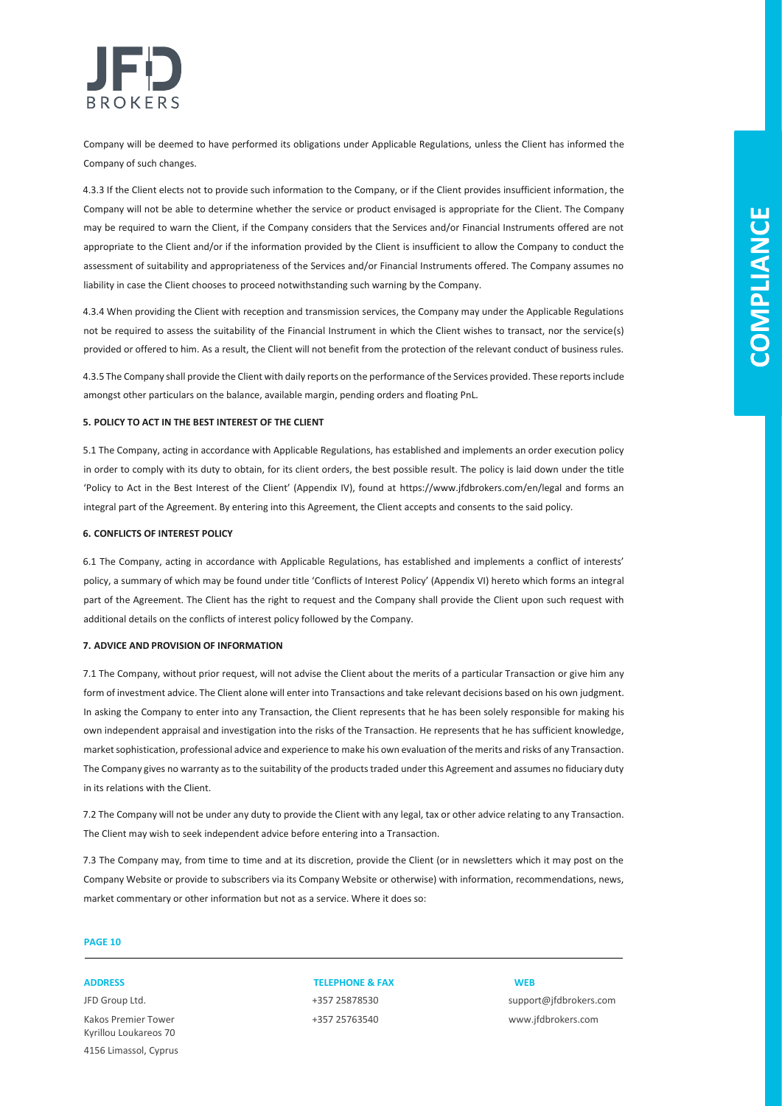

Company will be deemed to have performed its obligations under Applicable Regulations, unless the Client has informed the Company of such changes.

4.3.3 If the Client elects not to provide such information to the Company, or if the Client provides insufficient information, the Company will not be able to determine whether the service or product envisaged is appropriate for the Client. The Company may be required to warn the Client, if the Company considers that the Services and/or Financial Instruments offered are not appropriate to the Client and/or if the information provided by the Client is insufficient to allow the Company to conduct the assessment of suitability and appropriateness of the Services and/or Financial Instruments offered. The Company assumes no liability in case the Client chooses to proceed notwithstanding such warning by the Company.

4.3.4 When providing the Client with reception and transmission services, the Company may under the Applicable Regulations not be required to assess the suitability of the Financial Instrument in which the Client wishes to transact, nor the service(s) provided or offered to him. As a result, the Client will not benefit from the protection of the relevant conduct of business rules.

4.3.5 The Company shall provide the Client with daily reports on the performance of the Services provided. These reports include amongst other particulars on the balance, available margin, pending orders and floating PnL.

### **5. POLICY TO ACT IN THE BEST INTEREST OF THE CLIENT**

5.1 The Company, acting in accordance with Applicable Regulations, has established and implements an order execution policy in order to comply with its duty to obtain, for its client orders, the best possible result. The policy is laid down under the title 'Policy to Act in the Best Interest of the Client' (Appendix IV), found at https://www.jfdbrokers.com/en/legal and forms an integral part of the Agreement. By entering into this Agreement, the Client accepts and consents to the said policy.

#### **6. CONFLICTS OF INTEREST POLICY**

6.1 The Company, acting in accordance with Applicable Regulations, has established and implements a conflict of interests' policy, a summary of which may be found under title 'Conflicts of Interest Policy' (Appendix VI) hereto which forms an integral part of the Agreement. The Client has the right to request and the Company shall provide the Client upon such request with additional details on the conflicts of interest policy followed by the Company.

### **7. ADVICE AND PROVISION OF INFORMATION**

7.1 The Company, without prior request, will not advise the Client about the merits of a particular Transaction or give him any form of investment advice. The Client alone will enter into Transactions and take relevant decisions based on his own judgment. In asking the Company to enter into any Transaction, the Client represents that he has been solely responsible for making his own independent appraisal and investigation into the risks of the Transaction. He represents that he has sufficient knowledge, market sophistication, professional advice and experience to make his own evaluation of the merits and risks of any Transaction. The Company gives no warranty as to the suitability of the products traded under this Agreement and assumes no fiduciary duty in its relations with the Client.

7.2 The Company will not be under any duty to provide the Client with any legal, tax or other advice relating to any Transaction. The Client may wish to seek independent advice before entering into a Transaction.

7.3 The Company may, from time to time and at its discretion, provide the Client (or in newsletters which it may post on the Company Website or provide to subscribers via its Company Website or otherwise) with information, recommendations, news, market commentary or other information but not as a service. Where it does so:

### **PAGE 10**

Kakos Premier Tower +357 25763540 www.jfdbrokers.com Kyrillou Loukareos 70 4156 Limassol, Cyprus

**ADDRESS TELEPHONE & FAX WEB**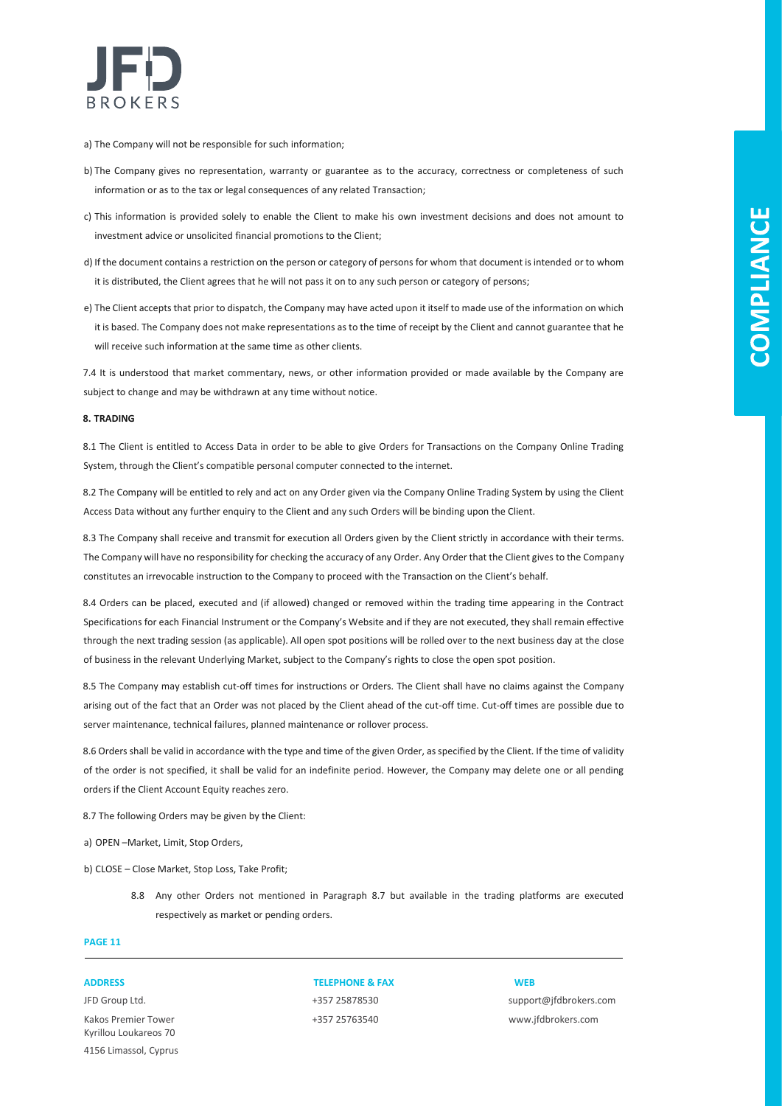

- a) The Company will not be responsible for such information;
- b) The Company gives no representation, warranty or guarantee as to the accuracy, correctness or completeness of such information or as to the tax or legal consequences of any related Transaction;
- c) This information is provided solely to enable the Client to make his own investment decisions and does not amount to investment advice or unsolicited financial promotions to the Client;
- d) If the document contains a restriction on the person or category of persons for whom that document is intended or to whom it is distributed, the Client agrees that he will not pass it on to any such person or category of persons;
- e) The Client accepts that prior to dispatch, the Company may have acted upon it itself to made use of the information on which it is based. The Company does not make representations as to the time of receipt by the Client and cannot guarantee that he will receive such information at the same time as other clients.

7.4 It is understood that market commentary, news, or other information provided or made available by the Company are subject to change and may be withdrawn at any time without notice.

#### **8. TRADING**

8.1 The Client is entitled to Access Data in order to be able to give Orders for Transactions on the Company Online Trading System, through the Client's compatible personal computer connected to the internet.

8.2 The Company will be entitled to rely and act on any Order given via the Company Online Trading System by using the Client Access Data without any further enquiry to the Client and any such Orders will be binding upon the Client.

8.3 The Company shall receive and transmit for execution all Orders given by the Client strictly in accordance with their terms. The Company will have no responsibility for checking the accuracy of any Order. Any Order that the Client gives to the Company constitutes an irrevocable instruction to the Company to proceed with the Transaction on the Client's behalf.

8.4 Orders can be placed, executed and (if allowed) changed or removed within the trading time appearing in the Contract Specifications for each Financial Instrument or the Company's Website and if they are not executed, they shall remain effective through the next trading session (as applicable). All open spot positions will be rolled over to the next business day at the close of business in the relevant Underlying Market, subject to the Company's rights to close the open spot position.

8.5 The Company may establish cut-off times for instructions or Orders. The Client shall have no claims against the Company arising out of the fact that an Order was not placed by the Client ahead of the cut-off time. Cut-off times are possible due to server maintenance, technical failures, planned maintenance or rollover process.

8.6 Orders shall be valid in accordance with the type and time of the given Order, as specified by the Client. If the time of validity of the order is not specified, it shall be valid for an indefinite period. However, the Company may delete one or all pending orders if the Client Account Equity reaches zero.

8.7 The following Orders may be given by the Client:

a) OPEN –Market, Limit, Stop Orders,

b) CLOSE – Close Market, Stop Loss, Take Profit;

8.8 Any other Orders not mentioned in Paragraph 8.7 but available in the trading platforms are executed respectively as market or pending orders.

### **PAGE 11**

Kakos Premier Tower +357 25763540 www.jfdbrokers.com Kyrillou Loukareos 70 4156 Limassol, Cyprus

**ADDRESS TELEPHONE & FAX WEB**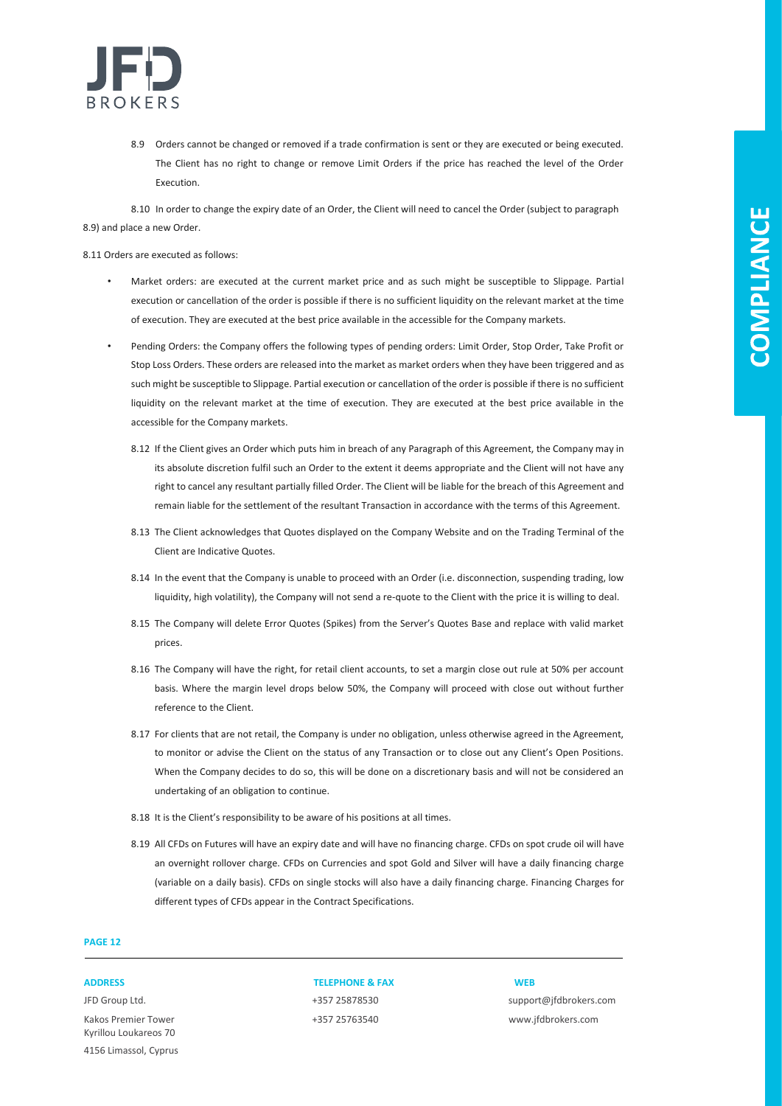

8.9 Orders cannot be changed or removed if a trade confirmation is sent or they are executed or being executed. The Client has no right to change or remove Limit Orders if the price has reached the level of the Order Execution.

8.10 In order to change the expiry date of an Order, the Client will need to cancel the Order (subject to paragraph 8.9) and place a new Order.

8.11 Orders are executed as follows:

- Market orders: are executed at the current market price and as such might be susceptible to Slippage. Partial execution or cancellation of the order is possible if there is no sufficient liquidity on the relevant market at the time of execution. They are executed at the best price available in the accessible for the Company markets.
- Pending Orders: the Company offers the following types of pending orders: Limit Order, Stop Order, Take Profit or Stop Loss Orders. These orders are released into the market as market orders when they have been triggered and as such might be susceptible to Slippage. Partial execution or cancellation of the order is possible if there is no sufficient liquidity on the relevant market at the time of execution. They are executed at the best price available in the accessible for the Company markets.
	- 8.12 If the Client gives an Order which puts him in breach of any Paragraph of this Agreement, the Company may in its absolute discretion fulfil such an Order to the extent it deems appropriate and the Client will not have any right to cancel any resultant partially filled Order. The Client will be liable for the breach of this Agreement and remain liable for the settlement of the resultant Transaction in accordance with the terms of this Agreement.
	- 8.13 The Client acknowledges that Quotes displayed on the Company Website and on the Trading Terminal of the Client are Indicative Quotes.
	- 8.14 In the event that the Company is unable to proceed with an Order (i.e. disconnection, suspending trading, low liquidity, high volatility), the Company will not send a re-quote to the Client with the price it is willing to deal.
	- 8.15 The Company will delete Error Quotes (Spikes) from the Server's Quotes Base and replace with valid market prices.
	- 8.16 The Company will have the right, for retail client accounts, to set a margin close out rule at 50% per account basis. Where the margin level drops below 50%, the Company will proceed with close out without further reference to the Client.
	- 8.17 For clients that are not retail, the Company is under no obligation, unless otherwise agreed in the Agreement, to monitor or advise the Client on the status of any Transaction or to close out any Client's Open Positions. When the Company decides to do so, this will be done on a discretionary basis and will not be considered an undertaking of an obligation to continue.
	- 8.18 It is the Client's responsibility to be aware of his positions at all times.
	- 8.19 All CFDs on Futures will have an expiry date and will have no financing charge. CFDs on spot crude oil will have an overnight rollover charge. CFDs on Currencies and spot Gold and Silver will have a daily financing charge (variable on a daily basis). CFDs on single stocks will also have a daily financing charge. Financing Charges for different types of CFDs appear in the Contract Specifications.

### **PAGE 12**

Kakos Premier Tower +357 25763540 www.jfdbrokers.com Kyrillou Loukareos 70 4156 Limassol, Cyprus

**ADDRESS TELEPHONE & FAX WEB**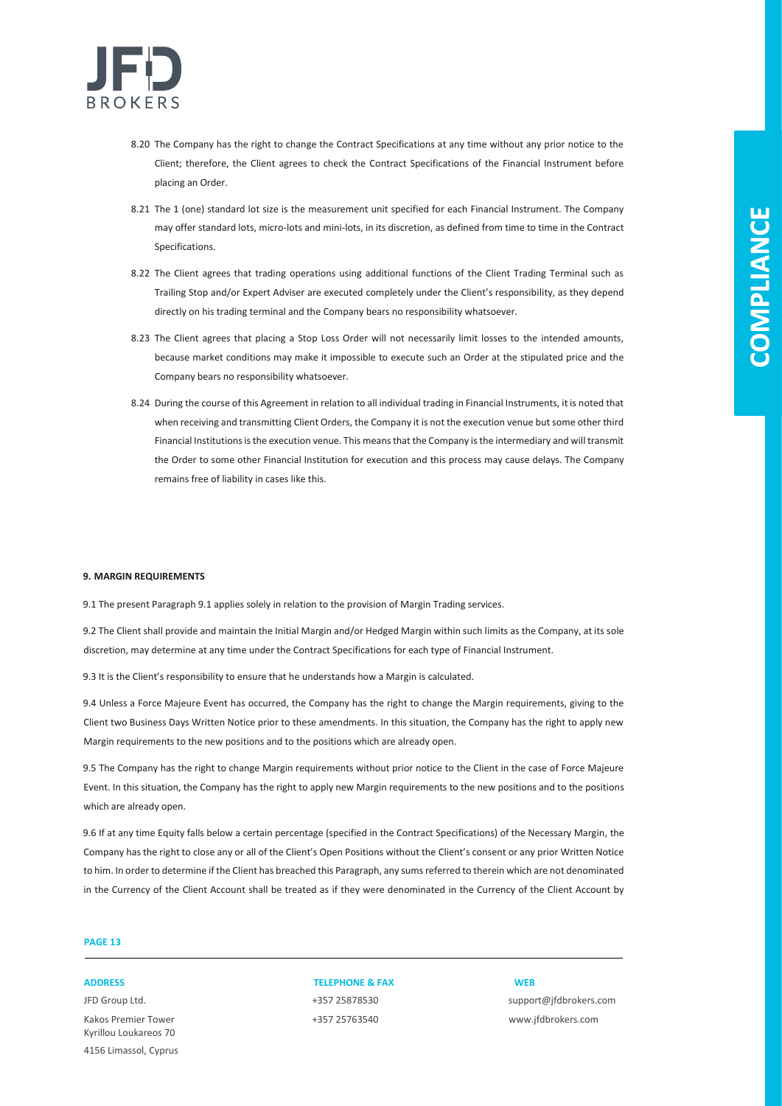

- 8.20 The Company has the right to change the Contract Specifications at any time without any prior notice to the Client; therefore, the Client agrees to check the Contract Specifications of the Financial Instrument before placing an Order.
- 8.21 The 1 (one) standard lot size is the measurement unit specified for each Financial Instrument. The Company may offer standard lots, micro-lots and mini-lots, in its discretion, as defined from time to time in the Contract Specifications.
- 8.22 The Client agrees that trading operations using additional functions of the Client Trading Terminal such as Trailing Stop and/or Expert Adviser are executed completely under the Client's responsibility, as they depend directly on his trading terminal and the Company bears no responsibility whatsoever.
- 8.23 The Client agrees that placing a Stop Loss Order will not necessarily limit losses to the intended amounts, because market conditions may make it impossible to execute such an Order at the stipulated price and the Company bears no responsibility whatsoever.
- 8.24 During the course of this Agreement in relation to all individual trading in Financial Instruments, it is noted that when receiving and transmitting Client Orders, the Company it is not the execution venue but some other third Financial Institutions is the execution venue. This means that the Company is the intermediary and will transmit the Order to some other Financial Institution for execution and this process may cause delays. The Company remains free of liability in cases like this.

#### **9. MARGIN REQUIREMENTS**

9.1 The present Paragraph 9.1 applies solely in relation to the provision of Margin Trading services.

9.2 The Client shall provide and maintain the Initial Margin and/or Hedged Margin within such limits as the Company, at its sole discretion, may determine at any time under the Contract Specifications for each type of Financial Instrument.

9.3 It is the Client's responsibility to ensure that he understands how a Margin is calculated.

9.4 Unless a Force Majeure Event has occurred, the Company has the right to change the Margin requirements, giving to the Client two Business Days Written Notice prior to these amendments. In this situation, the Company has the right to apply new Margin requirements to the new positions and to the positions which are already open.

9.5 The Company has the right to change Margin requirements without prior notice to the Client in the case of Force Majeure Event. In this situation, the Company has the right to apply new Margin requirements to the new positions and to the positions which are already open.

9.6 If at any time Equity falls below a certain percentage (specified in the Contract Specifications) of the Necessary Margin, the Company has the right to close any or all of the Client's Open Positions without the Client's consent or any prior Written Notice to him. In order to determine if the Client has breached this Paragraph, any sums referred to therein which are not denominated in the Currency of the Client Account shall be treated as if they were denominated in the Currency of the Client Account by

### **PAGE 13**

Kakos Premier Tower +357 25763540 www.jfdbrokers.com Kyrillou Loukareos 70 4156 Limassol, Cyprus

### **ADDRESS TELEPHONE & FAX WEB**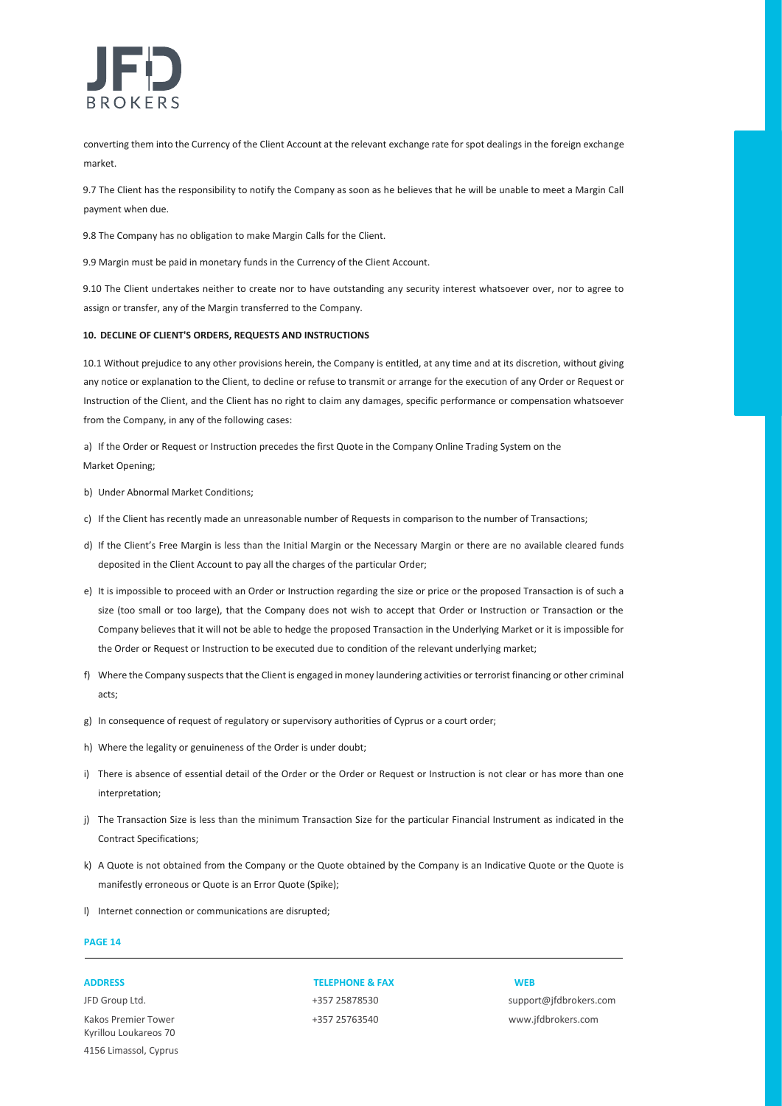

converting them into the Currency of the Client Account at the relevant exchange rate for spot dealings in the foreign exchange market.

9.7 The Client has the responsibility to notify the Company as soon as he believes that he will be unable to meet a Margin Call payment when due.

9.8 The Company has no obligation to make Margin Calls for the Client.

9.9 Margin must be paid in monetary funds in the Currency of the Client Account.

9.10 The Client undertakes neither to create nor to have outstanding any security interest whatsoever over, nor to agree to assign or transfer, any of the Margin transferred to the Company.

#### **10. DECLINE OF CLIENT'S ORDERS, REQUESTS AND INSTRUCTIONS**

10.1 Without prejudice to any other provisions herein, the Company is entitled, at any time and at its discretion, without giving any notice or explanation to the Client, to decline or refuse to transmit or arrange for the execution of any Order or Request or Instruction of the Client, and the Client has no right to claim any damages, specific performance or compensation whatsoever from the Company, in any of the following cases:

a) If the Order or Request or Instruction precedes the first Quote in the Company Online Trading System on the Market Opening;

- b) Under Abnormal Market Conditions;
- c) If the Client has recently made an unreasonable number of Requests in comparison to the number of Transactions;
- d) If the Client's Free Margin is less than the Initial Margin or the Necessary Margin or there are no available cleared funds deposited in the Client Account to pay all the charges of the particular Order;
- e) It is impossible to proceed with an Order or Instruction regarding the size or price or the proposed Transaction is of such a size (too small or too large), that the Company does not wish to accept that Order or Instruction or Transaction or the Company believes that it will not be able to hedge the proposed Transaction in the Underlying Market or it is impossible for the Order or Request or Instruction to be executed due to condition of the relevant underlying market;
- f) Where the Company suspects that the Client is engaged in money laundering activities or terrorist financing or other criminal acts;
- g) In consequence of request of regulatory or supervisory authorities of Cyprus or a court order;
- h) Where the legality or genuineness of the Order is under doubt;
- i) There is absence of essential detail of the Order or the Order or Request or Instruction is not clear or has more than one interpretation;
- j) The Transaction Size is less than the minimum Transaction Size for the particular Financial Instrument as indicated in the Contract Specifications;
- k) A Quote is not obtained from the Company or the Quote obtained by the Company is an Indicative Quote or the Quote is manifestly erroneous or Quote is an Error Quote (Spike);
- l) Internet connection or communications are disrupted;

### **PAGE 14**

Kakos Premier Tower +357 25763540 www.jfdbrokers.com Kyrillou Loukareos 70 4156 Limassol, Cyprus

**ADDRESS TELEPHONE & FAX WEB**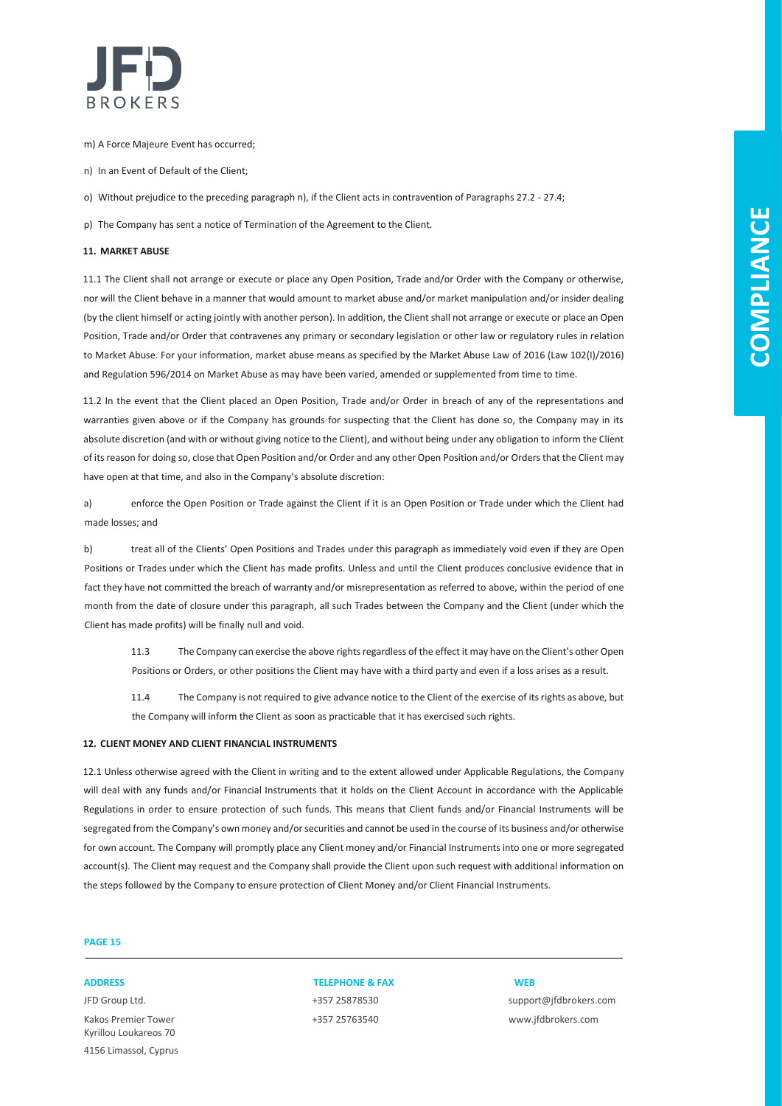

- m) A Force Majeure Event has occurred;
- n) In an Event of Default of the Client;
- o) Without prejudice to the preceding paragraph n), if the Client acts in contravention of Paragraphs 27.2 27.4;
- p) The Company has sent a notice of Termination of the Agreement to the Client.

#### **11. MARKET ABUSE**

11.1 The Client shall not arrange or execute or place any Open Position, Trade and/or Order with the Company or otherwise, nor will the Client behave in a manner that would amount to market abuse and/or market manipulation and/or insider dealing (by the client himself or acting jointly with another person). In addition, the Client shall not arrange or execute or place an Open Position, Trade and/or Order that contravenes any primary or secondary legislation or other law or regulatory rules in relation to Market Abuse. For your information, market abuse means as specified by the Market Abuse Law of 2016 (Law 102(I)/2016) and Regulation 596/2014 on Market Abuse as may have been varied, amended or supplemented from time to time.

11.2 In the event that the Client placed an Open Position, Trade and/or Order in breach of any of the representations and warranties given above or if the Company has grounds for suspecting that the Client has done so, the Company may in its absolute discretion (and with or without giving notice to the Client), and without being under any obligation to inform the Client of its reason for doing so, close that Open Position and/or Order and any other Open Position and/or Orders that the Client may have open at that time, and also in the Company's absolute discretion:

a) enforce the Open Position or Trade against the Client if it is an Open Position or Trade under which the Client had made losses; and

b) treat all of the Clients' Open Positions and Trades under this paragraph as immediately void even if they are Open Positions or Trades under which the Client has made profits. Unless and until the Client produces conclusive evidence that in fact they have not committed the breach of warranty and/or misrepresentation as referred to above, within the period of one month from the date of closure under this paragraph, all such Trades between the Company and the Client (under which the Client has made profits) will be finally null and void.

11.3 The Company can exercise the above rights regardless of the effect it may have on the Client's other Open Positions or Orders, or other positions the Client may have with a third party and even if a loss arises as a result.

11.4 The Company is not required to give advance notice to the Client of the exercise of its rights as above, but the Company will inform the Client as soon as practicable that it has exercised such rights.

#### **12. CLIENT MONEY AND CLIENT FINANCIAL INSTRUMENTS**

12.1 Unless otherwise agreed with the Client in writing and to the extent allowed under Applicable Regulations, the Company will deal with any funds and/or Financial Instruments that it holds on the Client Account in accordance with the Applicable Regulations in order to ensure protection of such funds. This means that Client funds and/or Financial Instruments will be segregated from the Company's own money and/or securities and cannot be used in the course of its business and/or otherwise for own account. The Company will promptly place any Client money and/or Financial Instruments into one or more segregated account(s). The Client may request and the Company shall provide the Client upon such request with additional information on the steps followed by the Company to ensure protection of Client Money and/or Client Financial Instruments.

### **PAGE 15**

Kakos Premier Tower +357 25763540 www.jfdbrokers.com Kyrillou Loukareos 70 4156 Limassol, Cyprus

### **ADDRESS TELEPHONE & FAX WEB**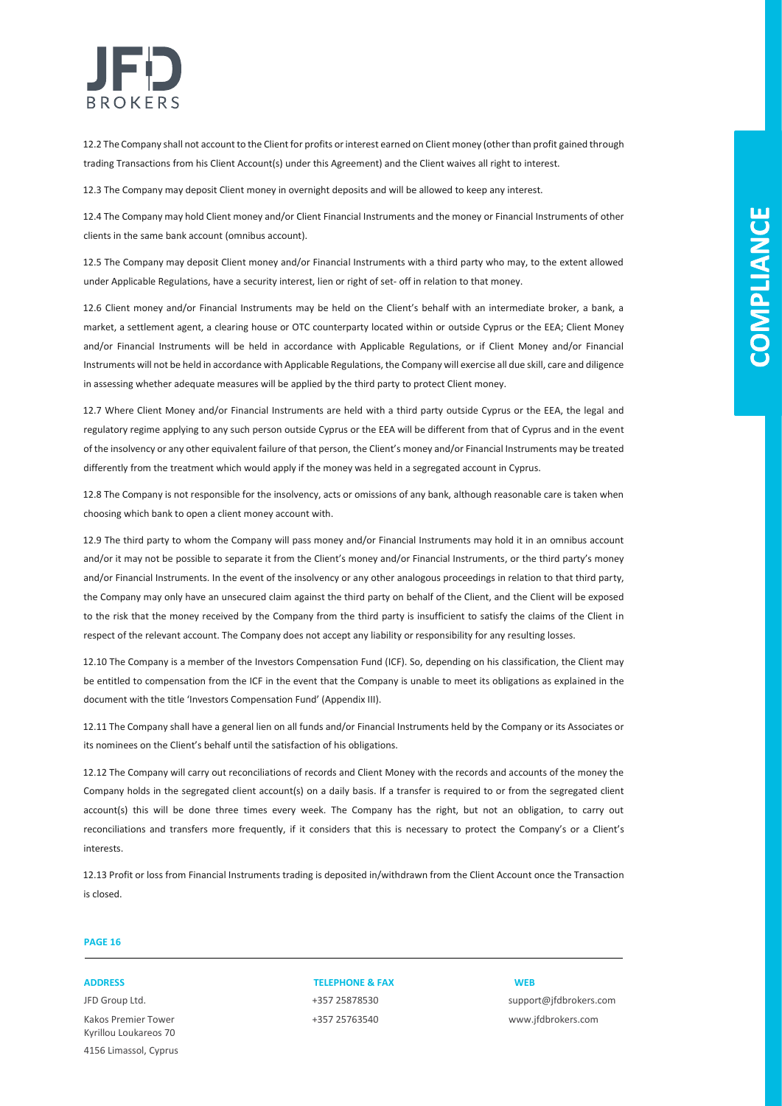

12.2 The Company shall not account to the Client for profits or interest earned on Client money (other than profit gained through trading Transactions from his Client Account(s) under this Agreement) and the Client waives all right to interest.

12.3 The Company may deposit Client money in overnight deposits and will be allowed to keep any interest.

12.4 The Company may hold Client money and/or Client Financial Instruments and the money or Financial Instruments of other clients in the same bank account (omnibus account).

12.5 The Company may deposit Client money and/or Financial Instruments with a third party who may, to the extent allowed under Applicable Regulations, have a security interest, lien or right of set- off in relation to that money.

12.6 Client money and/or Financial Instruments may be held on the Client's behalf with an intermediate broker, a bank, a market, a settlement agent, a clearing house or OTC counterparty located within or outside Cyprus or the EEA; Client Money and/or Financial Instruments will be held in accordance with Applicable Regulations, or if Client Money and/or Financial Instruments will not be held in accordance with Applicable Regulations, the Company will exercise all due skill, care and diligence in assessing whether adequate measures will be applied by the third party to protect Client money.

12.7 Where Client Money and/or Financial Instruments are held with a third party outside Cyprus or the EEA, the legal and regulatory regime applying to any such person outside Cyprus or the EEA will be different from that of Cyprus and in the event of the insolvency or any other equivalent failure of that person, the Client's money and/or Financial Instruments may be treated differently from the treatment which would apply if the money was held in a segregated account in Cyprus.

12.8 The Company is not responsible for the insolvency, acts or omissions of any bank, although reasonable care is taken when choosing which bank to open a client money account with.

12.9 The third party to whom the Company will pass money and/or Financial Instruments may hold it in an omnibus account and/or it may not be possible to separate it from the Client's money and/or Financial Instruments, or the third party's money and/or Financial Instruments. In the event of the insolvency or any other analogous proceedings in relation to that third party, the Company may only have an unsecured claim against the third party on behalf of the Client, and the Client will be exposed to the risk that the money received by the Company from the third party is insufficient to satisfy the claims of the Client in respect of the relevant account. The Company does not accept any liability or responsibility for any resulting losses.

12.10 The Company is a member of the Investors Compensation Fund (ICF). So, depending on his classification, the Client may be entitled to compensation from the ICF in the event that the Company is unable to meet its obligations as explained in the document with the title 'Investors Compensation Fund' (Appendix III).

12.11 The Company shall have a general lien on all funds and/or Financial Instruments held by the Company or its Associates or its nominees on the Client's behalf until the satisfaction of his obligations.

12.12 The Company will carry out reconciliations of records and Client Money with the records and accounts of the money the Company holds in the segregated client account(s) on a daily basis. If a transfer is required to or from the segregated client account(s) this will be done three times every week. The Company has the right, but not an obligation, to carry out reconciliations and transfers more frequently, if it considers that this is necessary to protect the Company's or a Client's interests.

12.13 Profit or loss from Financial Instruments trading is deposited in/withdrawn from the Client Account once the Transaction is closed.

### **PAGE 16**

Kakos Premier Tower +357 25763540 www.jfdbrokers.com Kyrillou Loukareos 70 4156 Limassol, Cyprus

### **ADDRESS TELEPHONE & FAX WEB**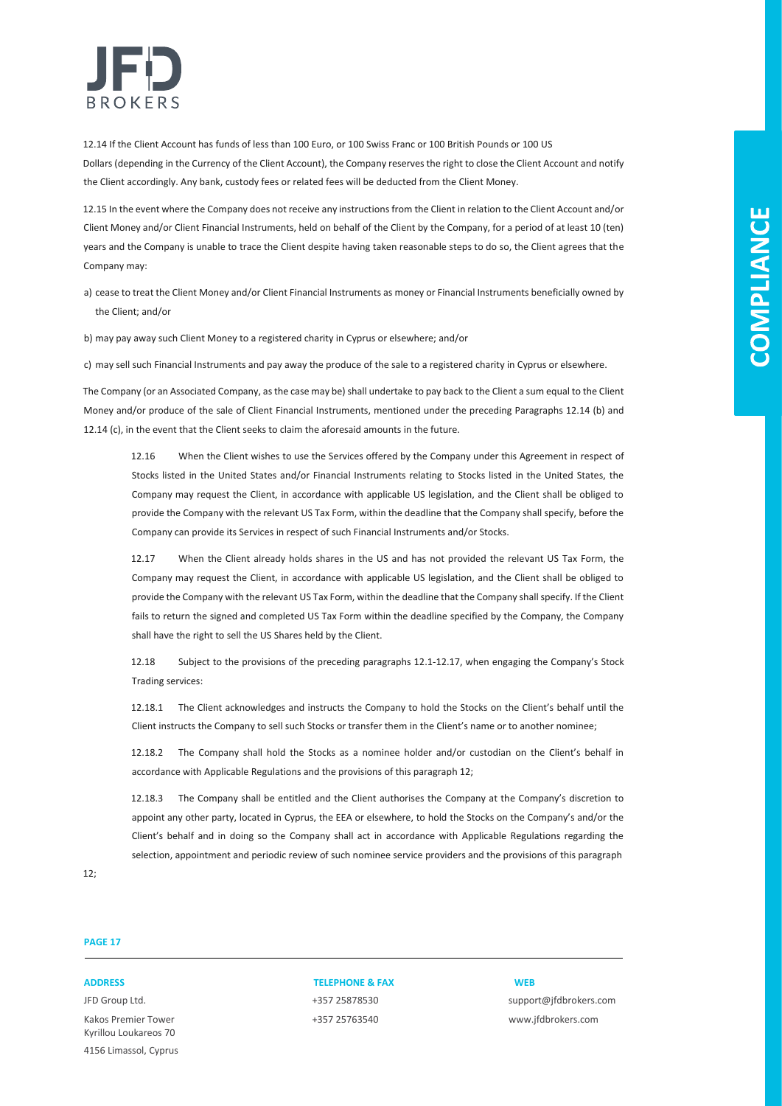

12.14 If the Client Account has funds of less than 100 Euro, or 100 Swiss Franc or 100 British Pounds or 100 US Dollars (depending in the Currency of the Client Account), the Company reserves the right to close the Client Account and notify the Client accordingly. Any bank, custody fees or related fees will be deducted from the Client Money.

12.15 In the event where the Company does not receive any instructions from the Client in relation to the Client Account and/or Client Money and/or Client Financial Instruments, held on behalf of the Client by the Company, for a period of at least 10 (ten) years and the Company is unable to trace the Client despite having taken reasonable steps to do so, the Client agrees that the Company may:

a) cease to treat the Client Money and/or Client Financial Instruments as money or Financial Instruments beneficially owned by the Client; and/or

b) may pay away such Client Money to a registered charity in Cyprus or elsewhere; and/or

c) may sell such Financial Instruments and pay away the produce of the sale to a registered charity in Cyprus or elsewhere.

The Company (or an Associated Company, as the case may be) shall undertake to pay back to the Client a sum equal to the Client Money and/or produce of the sale of Client Financial Instruments, mentioned under the preceding Paragraphs 12.14 (b) and 12.14 (c), in the event that the Client seeks to claim the aforesaid amounts in the future.

12.16 When the Client wishes to use the Services offered by the Company under this Agreement in respect of Stocks listed in the United States and/or Financial Instruments relating to Stocks listed in the United States, the Company may request the Client, in accordance with applicable US legislation, and the Client shall be obliged to provide the Company with the relevant US Tax Form, within the deadline that the Company shall specify, before the Company can provide its Services in respect of such Financial Instruments and/or Stocks.

12.17 When the Client already holds shares in the US and has not provided the relevant US Tax Form, the Company may request the Client, in accordance with applicable US legislation, and the Client shall be obliged to provide the Company with the relevant US Tax Form, within the deadline that the Company shall specify. If the Client fails to return the signed and completed US Tax Form within the deadline specified by the Company, the Company shall have the right to sell the US Shares held by the Client.

12.18 Subject to the provisions of the preceding paragraphs 12.1-12.17, when engaging the Company's Stock Trading services:

12.18.1 The Client acknowledges and instructs the Company to hold the Stocks on the Client's behalf until the Client instructs the Company to sell such Stocks or transfer them in the Client's name or to another nominee;

12.18.2 The Company shall hold the Stocks as a nominee holder and/or custodian on the Client's behalf in accordance with Applicable Regulations and the provisions of this paragraph 12;

12.18.3 The Company shall be entitled and the Client authorises the Company at the Company's discretion to appoint any other party, located in Cyprus, the EEA or elsewhere, to hold the Stocks on the Company's and/or the Client's behalf and in doing so the Company shall act in accordance with Applicable Regulations regarding the selection, appointment and periodic review of such nominee service providers and the provisions of this paragraph

12;

### **PAGE 17**

Kakos Premier Tower +357 25763540 www.jfdbrokers.com Kyrillou Loukareos 70 4156 Limassol, Cyprus

#### **ADDRESS TELEPHONE & FAX WEB**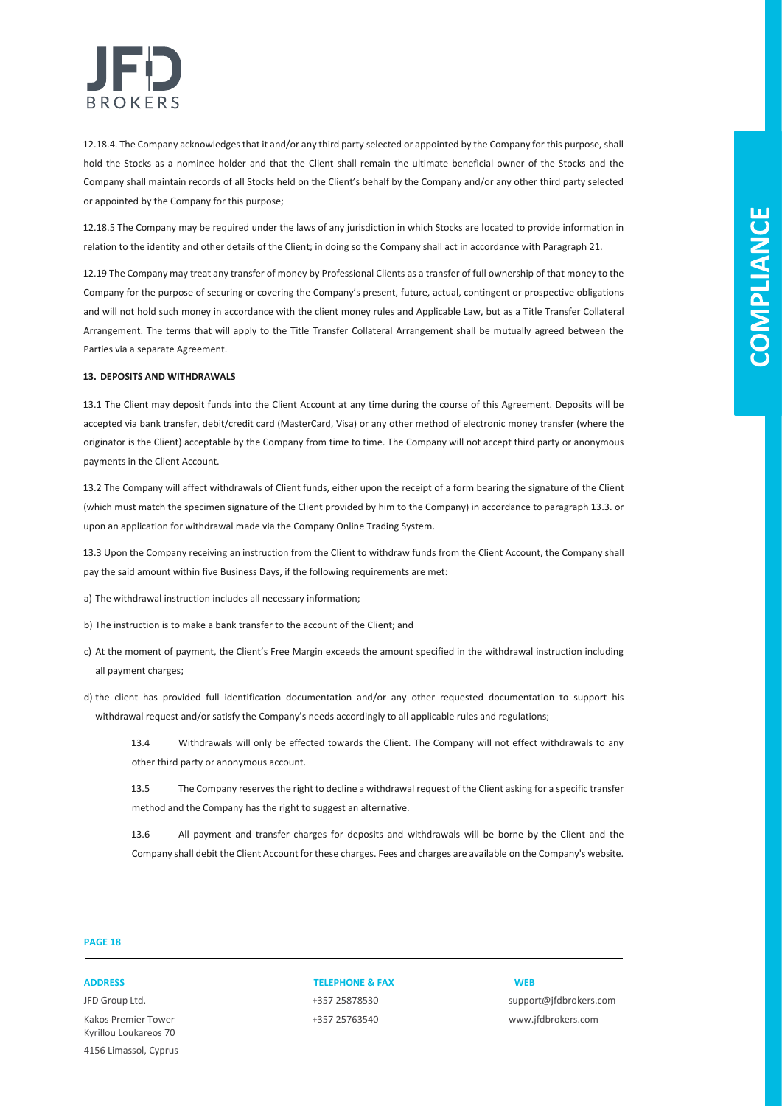

12.18.4. The Company acknowledges that it and/or any third party selected or appointed by the Company for this purpose, shall hold the Stocks as a nominee holder and that the Client shall remain the ultimate beneficial owner of the Stocks and the Company shall maintain records of all Stocks held on the Client's behalf by the Company and/or any other third party selected or appointed by the Company for this purpose;

12.18.5 The Company may be required under the laws of any jurisdiction in which Stocks are located to provide information in relation to the identity and other details of the Client; in doing so the Company shall act in accordance with Paragraph 21.

12.19 The Company may treat any transfer of money by Professional Clients as a transfer of full ownership of that money to the Company for the purpose of securing or covering the Company's present, future, actual, contingent or prospective obligations and will not hold such money in accordance with the client money rules and Applicable Law, but as a Title Transfer Collateral Arrangement. The terms that will apply to the Title Transfer Collateral Arrangement shall be mutually agreed between the Parties via a separate Agreement.

#### **13. DEPOSITS AND WITHDRAWALS**

13.1 The Client may deposit funds into the Client Account at any time during the course of this Agreement. Deposits will be accepted via bank transfer, debit/credit card (MasterCard, Visa) or any other method of electronic money transfer (where the originator is the Client) acceptable by the Company from time to time. The Company will not accept third party or anonymous payments in the Client Account.

13.2 The Company will affect withdrawals of Client funds, either upon the receipt of a form bearing the signature of the Client (which must match the specimen signature of the Client provided by him to the Company) in accordance to paragraph 13.3. or upon an application for withdrawal made via the Company Online Trading System.

13.3 Upon the Company receiving an instruction from the Client to withdraw funds from the Client Account, the Company shall pay the said amount within five Business Days, if the following requirements are met:

- a) The withdrawal instruction includes all necessary information;
- b) The instruction is to make a bank transfer to the account of the Client; and
- c) At the moment of payment, the Client's Free Margin exceeds the amount specified in the withdrawal instruction including all payment charges;
- d) the client has provided full identification documentation and/or any other requested documentation to support his withdrawal request and/or satisfy the Company's needs accordingly to all applicable rules and regulations;
	- 13.4 Withdrawals will only be effected towards the Client. The Company will not effect withdrawals to any other third party or anonymous account.
	- 13.5 The Company reserves the right to decline a withdrawal request of the Client asking for a specific transfer method and the Company has the right to suggest an alternative.
	- 13.6 All payment and transfer charges for deposits and withdrawals will be borne by the Client and the Company shall debit the Client Account for these charges. Fees and charges are available on the Company's website.

### **PAGE 18**

Kakos Premier Tower +357 25763540 www.jfdbrokers.com Kyrillou Loukareos 70 4156 Limassol, Cyprus

### **ADDRESS TELEPHONE & FAX WEB**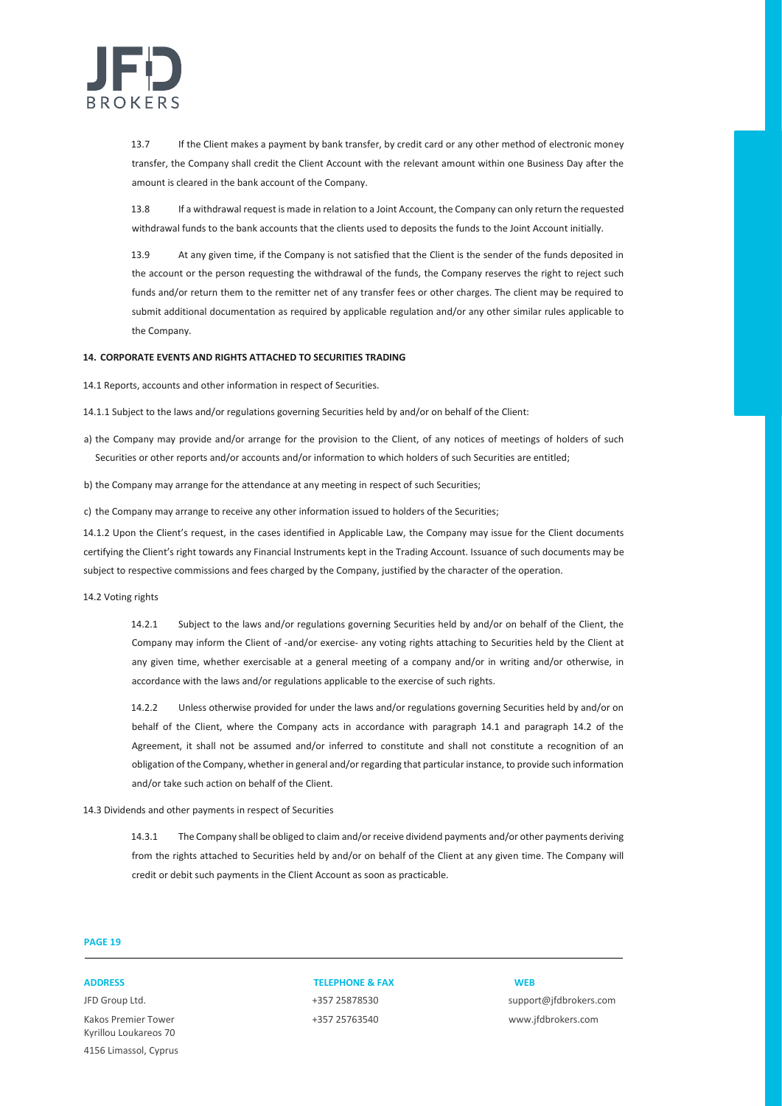

13.7 If the Client makes a payment by bank transfer, by credit card or any other method of electronic money transfer, the Company shall credit the Client Account with the relevant amount within one Business Day after the amount is cleared in the bank account of the Company.

13.8 If a withdrawal request is made in relation to a Joint Account, the Company can only return the requested withdrawal funds to the bank accounts that the clients used to deposits the funds to the Joint Account initially.

13.9 At any given time, if the Company is not satisfied that the Client is the sender of the funds deposited in the account or the person requesting the withdrawal of the funds, the Company reserves the right to reject such funds and/or return them to the remitter net of any transfer fees or other charges. The client may be required to submit additional documentation as required by applicable regulation and/or any other similar rules applicable to the Company.

#### **14. CORPORATE EVENTS AND RIGHTS ATTACHED TO SECURITIES TRADING**

14.1 Reports, accounts and other information in respect of Securities.

14.1.1 Subject to the laws and/or regulations governing Securities held by and/or on behalf of the Client:

- a) the Company may provide and/or arrange for the provision to the Client, of any notices of meetings of holders of such Securities or other reports and/or accounts and/or information to which holders of such Securities are entitled;
- b) the Company may arrange for the attendance at any meeting in respect of such Securities;

c) the Company may arrange to receive any other information issued to holders of the Securities;

14.1.2 Upon the Client's request, in the cases identified in Applicable Law, the Company may issue for the Client documents certifying the Client's right towards any Financial Instruments kept in the Trading Account. Issuance of such documents may be subject to respective commissions and fees charged by the Company, justified by the character of the operation.

14.2 Voting rights

14.2.1 Subject to the laws and/or regulations governing Securities held by and/or on behalf of the Client, the Company may inform the Client of -and/or exercise- any voting rights attaching to Securities held by the Client at any given time, whether exercisable at a general meeting of a company and/or in writing and/or otherwise, in accordance with the laws and/or regulations applicable to the exercise of such rights.

14.2.2 Unless otherwise provided for under the laws and/or regulations governing Securities held by and/or on behalf of the Client, where the Company acts in accordance with paragraph 14.1 and paragraph 14.2 of the Agreement, it shall not be assumed and/or inferred to constitute and shall not constitute a recognition of an obligation of the Company, whether in general and/or regarding that particular instance, to provide such information and/or take such action on behalf of the Client.

14.3 Dividends and other payments in respect of Securities

14.3.1 The Company shall be obliged to claim and/or receive dividend payments and/or other payments deriving from the rights attached to Securities held by and/or on behalf of the Client at any given time. The Company will credit or debit such payments in the Client Account as soon as practicable.

### **PAGE 19**

Kakos Premier Tower +357 25763540 www.jfdbrokers.com Kyrillou Loukareos 70 4156 Limassol, Cyprus

#### **ADDRESS TELEPHONE & FAX WEB**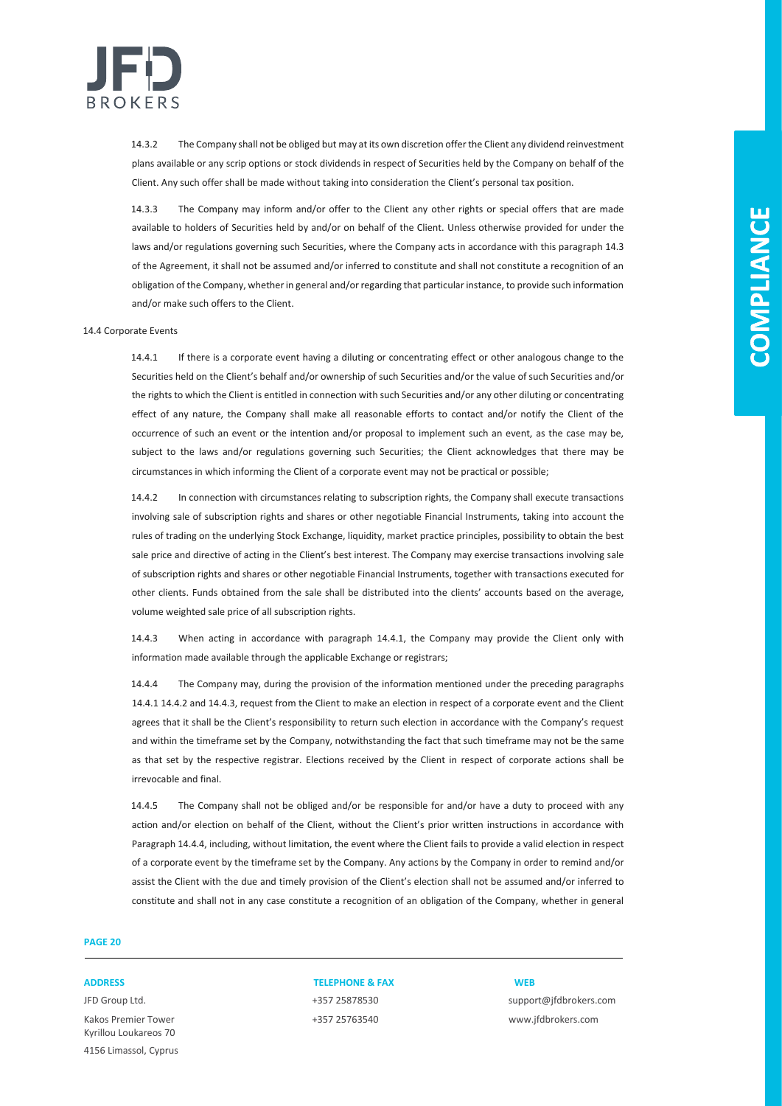

14.3.2 The Company shall not be obliged but may at its own discretion offer the Client any dividend reinvestment plans available or any scrip options or stock dividends in respect of Securities held by the Company on behalf of the Client. Any such offer shall be made without taking into consideration the Client's personal tax position.

14.3.3 The Company may inform and/or offer to the Client any other rights or special offers that are made available to holders of Securities held by and/or on behalf of the Client. Unless otherwise provided for under the laws and/or regulations governing such Securities, where the Company acts in accordance with this paragraph 14.3 of the Agreement, it shall not be assumed and/or inferred to constitute and shall not constitute a recognition of an obligation of the Company, whether in general and/or regarding that particular instance, to provide such information and/or make such offers to the Client.

#### 14.4 Corporate Events

14.4.1 If there is a corporate event having a diluting or concentrating effect or other analogous change to the Securities held on the Client's behalf and/or ownership of such Securities and/or the value of such Securities and/or the rights to which the Client is entitled in connection with such Securities and/or any other diluting or concentrating effect of any nature, the Company shall make all reasonable efforts to contact and/or notify the Client of the occurrence of such an event or the intention and/or proposal to implement such an event, as the case may be, subject to the laws and/or regulations governing such Securities; the Client acknowledges that there may be circumstances in which informing the Client of a corporate event may not be practical or possible;

14.4.2 In connection with circumstances relating to subscription rights, the Company shall execute transactions involving sale of subscription rights and shares or other negotiable Financial Instruments, taking into account the rules of trading on the underlying Stock Exchange, liquidity, market practice principles, possibility to obtain the best sale price and directive of acting in the Client's best interest. The Company may exercise transactions involving sale of subscription rights and shares or other negotiable Financial Instruments, together with transactions executed for other clients. Funds obtained from the sale shall be distributed into the clients' accounts based on the average, volume weighted sale price of all subscription rights.

14.4.3 When acting in accordance with paragraph 14.4.1, the Company may provide the Client only with information made available through the applicable Exchange or registrars;

14.4.4 The Company may, during the provision of the information mentioned under the preceding paragraphs 14.4.1 14.4.2 and 14.4.3, request from the Client to make an election in respect of a corporate event and the Client agrees that it shall be the Client's responsibility to return such election in accordance with the Company's request and within the timeframe set by the Company, notwithstanding the fact that such timeframe may not be the same as that set by the respective registrar. Elections received by the Client in respect of corporate actions shall be irrevocable and final.

14.4.5 The Company shall not be obliged and/or be responsible for and/or have a duty to proceed with any action and/or election on behalf of the Client, without the Client's prior written instructions in accordance with Paragraph 14.4.4, including, without limitation, the event where the Client fails to provide a valid election in respect of a corporate event by the timeframe set by the Company. Any actions by the Company in order to remind and/or assist the Client with the due and timely provision of the Client's election shall not be assumed and/or inferred to constitute and shall not in any case constitute a recognition of an obligation of the Company, whether in general

### **PAGE 20**

Kakos Premier Tower +357 25763540 www.jfdbrokers.com Kyrillou Loukareos 70 4156 Limassol, Cyprus

### **ADDRESS TELEPHONE & FAX WEB**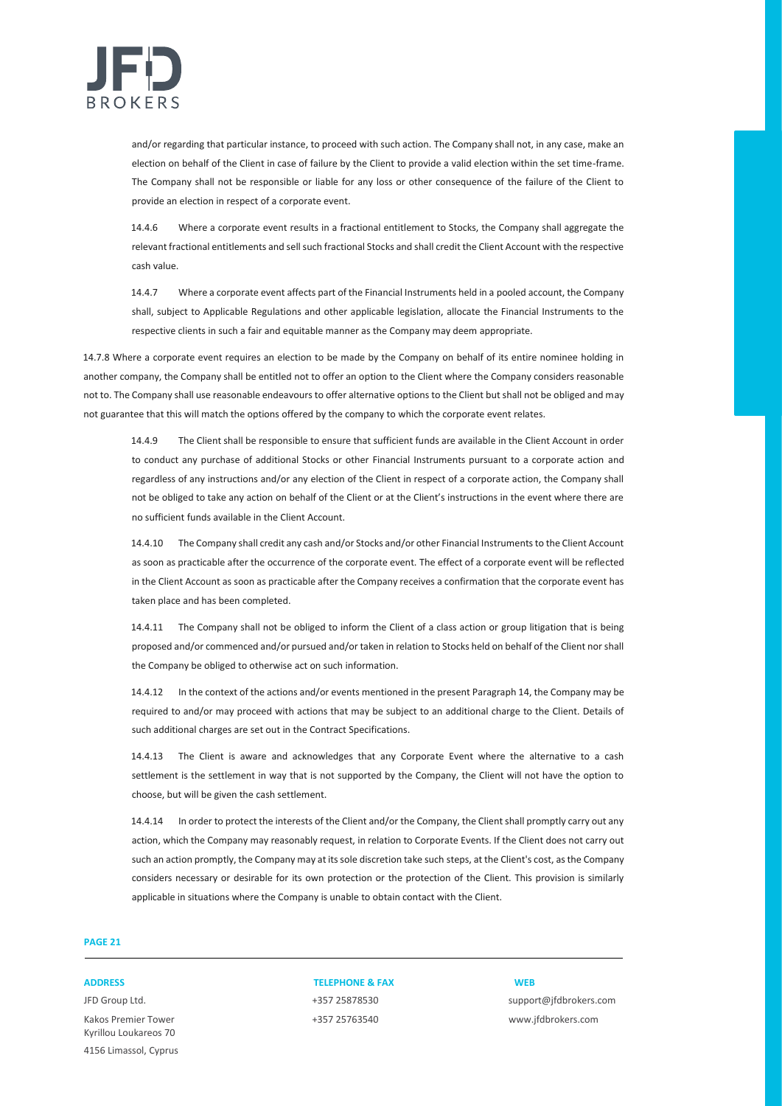

and/or regarding that particular instance, to proceed with such action. The Company shall not, in any case, make an election on behalf of the Client in case of failure by the Client to provide a valid election within the set time-frame. The Company shall not be responsible or liable for any loss or other consequence of the failure of the Client to provide an election in respect of a corporate event.

14.4.6 Where a corporate event results in a fractional entitlement to Stocks, the Company shall aggregate the relevant fractional entitlements and sell such fractional Stocks and shall credit the Client Account with the respective cash value.

14.4.7 Where a corporate event affects part of the Financial Instruments held in a pooled account, the Company shall, subject to Applicable Regulations and other applicable legislation, allocate the Financial Instruments to the respective clients in such a fair and equitable manner as the Company may deem appropriate.

14.7.8 Where a corporate event requires an election to be made by the Company on behalf of its entire nominee holding in another company, the Company shall be entitled not to offer an option to the Client where the Company considers reasonable not to. The Company shall use reasonable endeavours to offer alternative options to the Client but shall not be obliged and may not guarantee that this will match the options offered by the company to which the corporate event relates.

14.4.9 The Client shall be responsible to ensure that sufficient funds are available in the Client Account in order to conduct any purchase of additional Stocks or other Financial Instruments pursuant to a corporate action and regardless of any instructions and/or any election of the Client in respect of a corporate action, the Company shall not be obliged to take any action on behalf of the Client or at the Client's instructions in the event where there are no sufficient funds available in the Client Account.

14.4.10 The Company shall credit any cash and/or Stocks and/or other Financial Instruments to the Client Account as soon as practicable after the occurrence of the corporate event. The effect of a corporate event will be reflected in the Client Account as soon as practicable after the Company receives a confirmation that the corporate event has taken place and has been completed.

14.4.11 The Company shall not be obliged to inform the Client of a class action or group litigation that is being proposed and/or commenced and/or pursued and/or taken in relation to Stocks held on behalf of the Client nor shall the Company be obliged to otherwise act on such information.

14.4.12 In the context of the actions and/or events mentioned in the present Paragraph 14, the Company may be required to and/or may proceed with actions that may be subject to an additional charge to the Client. Details of such additional charges are set out in the Contract Specifications.

14.4.13 The Client is aware and acknowledges that any Corporate Event where the alternative to a cash settlement is the settlement in way that is not supported by the Company, the Client will not have the option to choose, but will be given the cash settlement.

14.4.14 In order to protect the interests of the Client and/or the Company, the Client shall promptly carry out any action, which the Company may reasonably request, in relation to Corporate Events. If the Client does not carry out such an action promptly, the Company may at its sole discretion take such steps, at the Client's cost, as the Company considers necessary or desirable for its own protection or the protection of the Client. This provision is similarly applicable in situations where the Company is unable to obtain contact with the Client.

### **PAGE 21**

Kakos Premier Tower +357 25763540 www.jfdbrokers.com Kyrillou Loukareos 70 4156 Limassol, Cyprus

### **ADDRESS TELEPHONE & FAX WEB**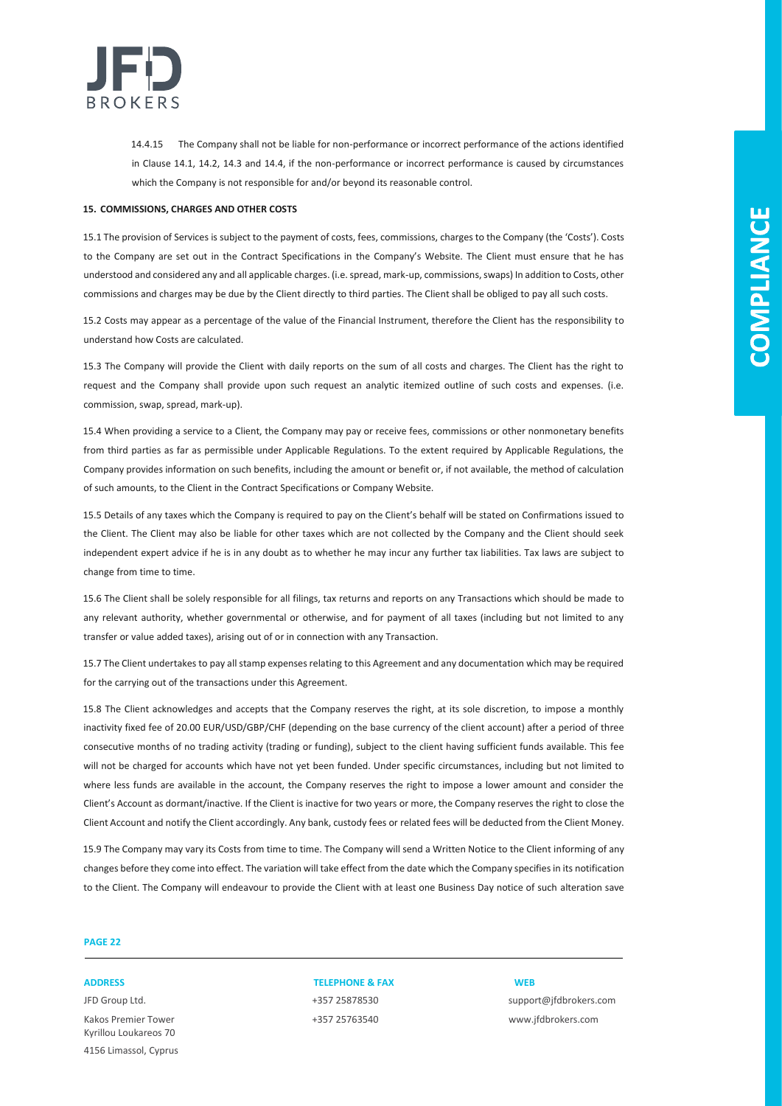

14.4.15 The Company shall not be liable for non-performance or incorrect performance of the actions identified in Clause 14.1, 14.2, 14.3 and 14.4, if the non-performance or incorrect performance is caused by circumstances which the Company is not responsible for and/or beyond its reasonable control.

#### **15. COMMISSIONS, CHARGES AND OTHER COSTS**

15.1 The provision of Services is subject to the payment of costs, fees, commissions, charges to the Company (the 'Costs'). Costs to the Company are set out in the Contract Specifications in the Company's Website. The Client must ensure that he has understood and considered any and all applicable charges. (i.e. spread, mark-up, commissions, swaps) In addition to Costs, other commissions and charges may be due by the Client directly to third parties. The Client shall be obliged to pay all such costs.

15.2 Costs may appear as a percentage of the value of the Financial Instrument, therefore the Client has the responsibility to understand how Costs are calculated.

15.3 The Company will provide the Client with daily reports on the sum of all costs and charges. The Client has the right to request and the Company shall provide upon such request an analytic itemized outline of such costs and expenses. (i.e. commission, swap, spread, mark-up).

15.4 When providing a service to a Client, the Company may pay or receive fees, commissions or other nonmonetary benefits from third parties as far as permissible under Applicable Regulations. To the extent required by Applicable Regulations, the Company provides information on such benefits, including the amount or benefit or, if not available, the method of calculation of such amounts, to the Client in the Contract Specifications or Company Website.

15.5 Details of any taxes which the Company is required to pay on the Client's behalf will be stated on Confirmations issued to the Client. The Client may also be liable for other taxes which are not collected by the Company and the Client should seek independent expert advice if he is in any doubt as to whether he may incur any further tax liabilities. Tax laws are subject to change from time to time.

15.6 The Client shall be solely responsible for all filings, tax returns and reports on any Transactions which should be made to any relevant authority, whether governmental or otherwise, and for payment of all taxes (including but not limited to any transfer or value added taxes), arising out of or in connection with any Transaction.

15.7 The Client undertakes to pay all stamp expenses relating to this Agreement and any documentation which may be required for the carrying out of the transactions under this Agreement.

15.8 The Client acknowledges and accepts that the Company reserves the right, at its sole discretion, to impose a monthly inactivity fixed fee of 20.00 EUR/USD/GBP/CHF (depending on the base currency of the client account) after a period of three consecutive months of no trading activity (trading or funding), subject to the client having sufficient funds available. This fee will not be charged for accounts which have not yet been funded. Under specific circumstances, including but not limited to where less funds are available in the account, the Company reserves the right to impose a lower amount and consider the Client's Account as dormant/inactive. If the Client is inactive for two years or more, the Company reserves the right to close the Client Account and notify the Client accordingly. Any bank, custody fees or related fees will be deducted from the Client Money.

15.9 The Company may vary its Costs from time to time. The Company will send a Written Notice to the Client informing of any changes before they come into effect. The variation will take effect from the date which the Company specifies in its notification to the Client. The Company will endeavour to provide the Client with at least one Business Day notice of such alteration save

### **PAGE 22**

Kakos Premier Tower +357 25763540 www.jfdbrokers.com Kyrillou Loukareos 70 4156 Limassol, Cyprus

### **ADDRESS TELEPHONE & FAX WEB**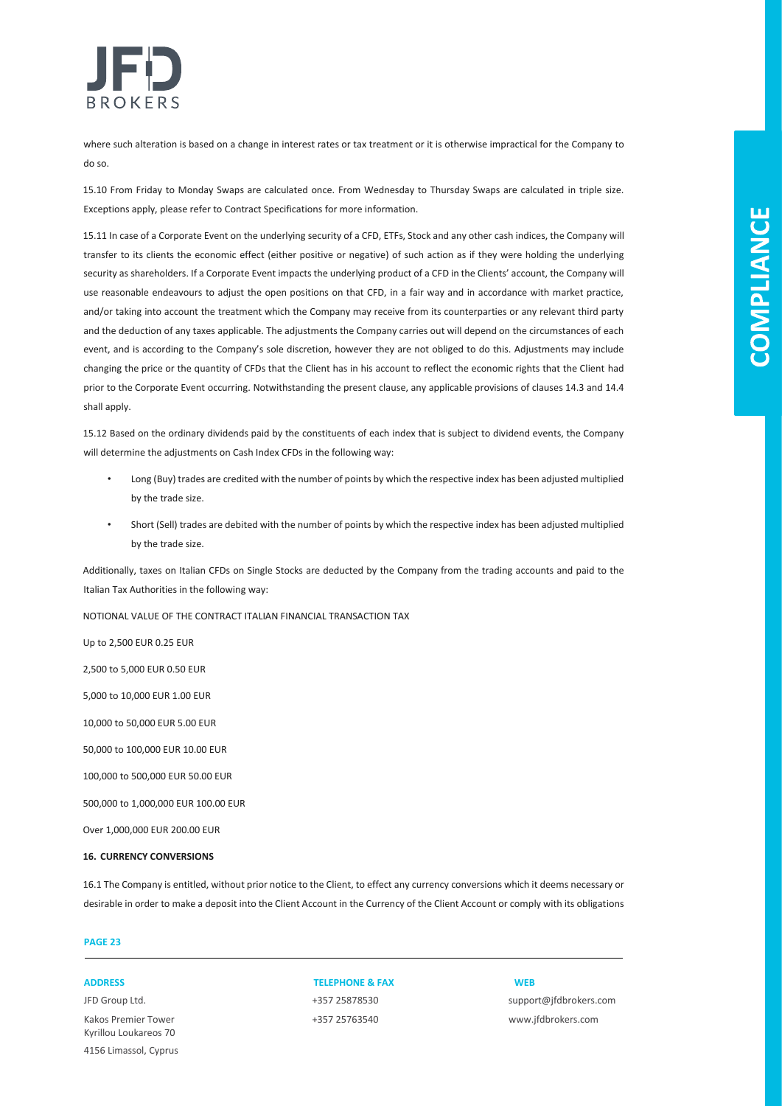

where such alteration is based on a change in interest rates or tax treatment or it is otherwise impractical for the Company to do so.

15.10 From Friday to Monday Swaps are calculated once. From Wednesday to Thursday Swaps are calculated in triple size. Exceptions apply, please refer to Contract Specifications for more information.

15.11 In case of a Corporate Event on the underlying security of a CFD, ETFs, Stock and any other cash indices, the Company will transfer to its clients the economic effect (either positive or negative) of such action as if they were holding the underlying security as shareholders. If a Corporate Event impacts the underlying product of a CFD in the Clients' account, the Company will use reasonable endeavours to adjust the open positions on that CFD, in a fair way and in accordance with market practice, and/or taking into account the treatment which the Company may receive from its counterparties or any relevant third party and the deduction of any taxes applicable. The adjustments the Company carries out will depend on the circumstances of each event, and is according to the Company's sole discretion, however they are not obliged to do this. Adjustments may include changing the price or the quantity of CFDs that the Client has in his account to reflect the economic rights that the Client had prior to the Corporate Event occurring. Notwithstanding the present clause, any applicable provisions of clauses 14.3 and 14.4 shall apply.

15.12 Based on the ordinary dividends paid by the constituents of each index that is subject to dividend events, the Company will determine the adjustments on Cash Index CFDs in the following way:

- Long (Buy) trades are credited with the number of points by which the respective index has been adjusted multiplied by the trade size.
- Short (Sell) trades are debited with the number of points by which the respective index has been adjusted multiplied by the trade size.

Additionally, taxes on Italian CFDs on Single Stocks are deducted by the Company from the trading accounts and paid to the Italian Tax Authorities in the following way:

NOTIONAL VALUE OF THE CONTRACT ITALIAN FINANCIAL TRANSACTION TAX

Up to 2,500 EUR 0.25 EUR 2,500 to 5,000 EUR 0.50 EUR 5,000 to 10,000 EUR 1.00 EUR 10,000 to 50,000 EUR 5.00 EUR 50,000 to 100,000 EUR 10.00 EUR 100,000 to 500,000 EUR 50.00 EUR 500,000 to 1,000,000 EUR 100.00 EUR Over 1,000,000 EUR 200.00 EUR

### **16. CURRENCY CONVERSIONS**

16.1 The Company is entitled, without prior notice to the Client, to effect any currency conversions which it deems necessary or desirable in order to make a deposit into the Client Account in the Currency of the Client Account or comply with its obligations

### **PAGE 23**

Kakos Premier Tower +357 25763540 www.jfdbrokers.com Kyrillou Loukareos 70 4156 Limassol, Cyprus

### **ADDRESS TELEPHONE & FAX WEB**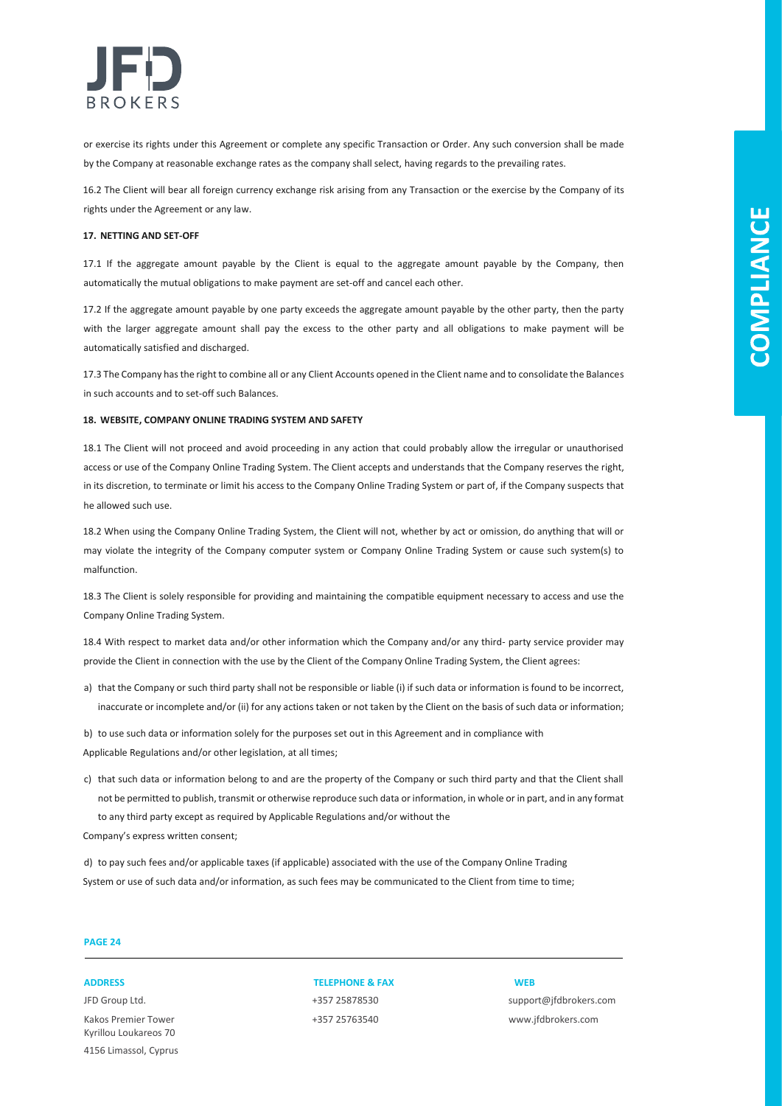

or exercise its rights under this Agreement or complete any specific Transaction or Order. Any such conversion shall be made by the Company at reasonable exchange rates as the company shall select, having regards to the prevailing rates.

16.2 The Client will bear all foreign currency exchange risk arising from any Transaction or the exercise by the Company of its rights under the Agreement or any law.

#### **17. NETTING AND SET-OFF**

17.1 If the aggregate amount payable by the Client is equal to the aggregate amount payable by the Company, then automatically the mutual obligations to make payment are set-off and cancel each other.

17.2 If the aggregate amount payable by one party exceeds the aggregate amount payable by the other party, then the party with the larger aggregate amount shall pay the excess to the other party and all obligations to make payment will be automatically satisfied and discharged.

17.3 The Company has the right to combine all or any Client Accounts opened in the Client name and to consolidate the Balances in such accounts and to set-off such Balances.

#### **18. WEBSITE, COMPANY ONLINE TRADING SYSTEM AND SAFETY**

18.1 The Client will not proceed and avoid proceeding in any action that could probably allow the irregular or unauthorised access or use of the Company Online Trading System. The Client accepts and understands that the Company reserves the right, in its discretion, to terminate or limit his access to the Company Online Trading System or part of, if the Company suspects that he allowed such use.

18.2 When using the Company Online Trading System, the Client will not, whether by act or omission, do anything that will or may violate the integrity of the Company computer system or Company Online Trading System or cause such system(s) to malfunction.

18.3 The Client is solely responsible for providing and maintaining the compatible equipment necessary to access and use the Company Online Trading System.

18.4 With respect to market data and/or other information which the Company and/or any third- party service provider may provide the Client in connection with the use by the Client of the Company Online Trading System, the Client agrees:

a) that the Company or such third party shall not be responsible or liable (i) if such data or information is found to be incorrect, inaccurate or incomplete and/or (ii) for any actions taken or not taken by the Client on the basis of such data or information;

b) to use such data or information solely for the purposes set out in this Agreement and in compliance with Applicable Regulations and/or other legislation, at all times;

c) that such data or information belong to and are the property of the Company or such third party and that the Client shall not be permitted to publish, transmit or otherwise reproduce such data or information, in whole or in part, and in any format to any third party except as required by Applicable Regulations and/or without the

Company's express written consent;

d) to pay such fees and/or applicable taxes (if applicable) associated with the use of the Company Online Trading System or use of such data and/or information, as such fees may be communicated to the Client from time to time;

### **PAGE 24**

JFD Group Ltd. +357 25878530 support@jfdbrokers.com Kakos Premier Tower +357 25763540 www.jfdbrokers.com Kyrillou Loukareos 70 4156 Limassol, Cyprus

**ADDRESS TELEPHONE & FAX WEB**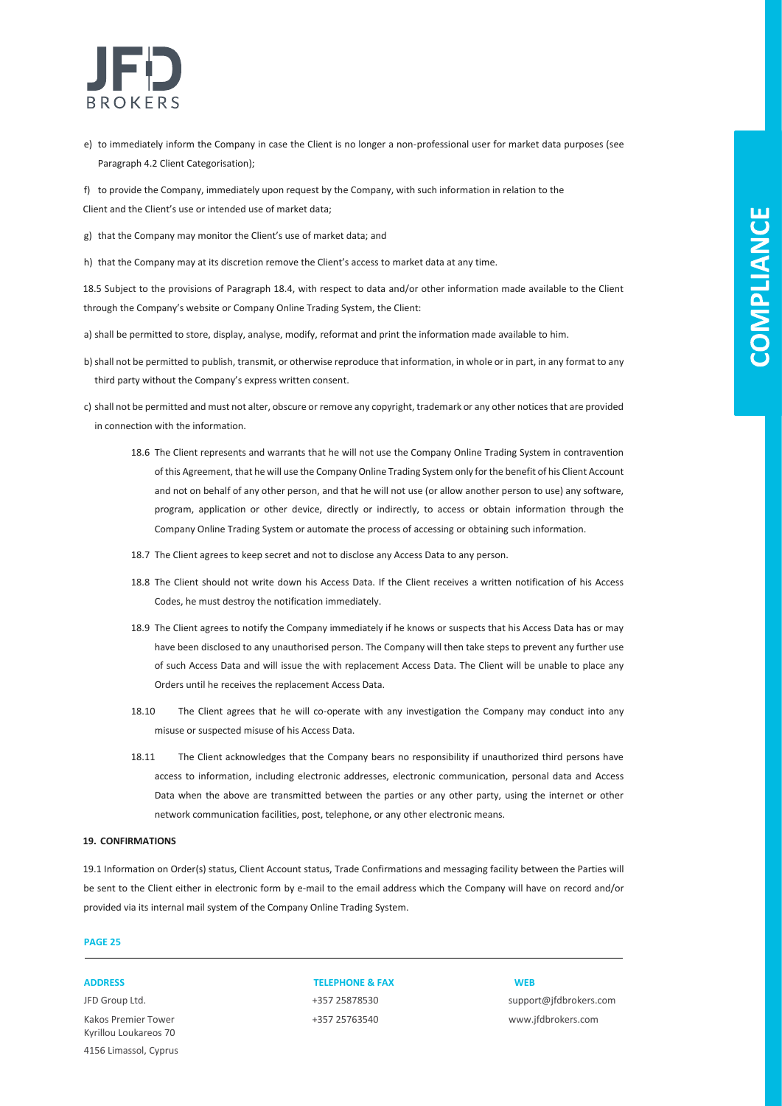

- e) to immediately inform the Company in case the Client is no longer a non-professional user for market data purposes (see Paragraph 4.2 Client Categorisation);
- f) to provide the Company, immediately upon request by the Company, with such information in relation to the Client and the Client's use or intended use of market data;
- g) that the Company may monitor the Client's use of market data; and
- h) that the Company may at its discretion remove the Client's access to market data at any time.

18.5 Subject to the provisions of Paragraph 18.4, with respect to data and/or other information made available to the Client through the Company's website or Company Online Trading System, the Client:

- a) shall be permitted to store, display, analyse, modify, reformat and print the information made available to him.
- b)shall not be permitted to publish, transmit, or otherwise reproduce that information, in whole or in part, in any format to any third party without the Company's express written consent.
- c) shall not be permitted and must not alter, obscure or remove any copyright, trademark or any other notices that are provided in connection with the information.
	- 18.6 The Client represents and warrants that he will not use the Company Online Trading System in contravention of this Agreement, that he will use the Company Online Trading System only for the benefit of his Client Account and not on behalf of any other person, and that he will not use (or allow another person to use) any software, program, application or other device, directly or indirectly, to access or obtain information through the Company Online Trading System or automate the process of accessing or obtaining such information.
	- 18.7 The Client agrees to keep secret and not to disclose any Access Data to any person.
	- 18.8 The Client should not write down his Access Data. If the Client receives a written notification of his Access Codes, he must destroy the notification immediately.
	- 18.9 The Client agrees to notify the Company immediately if he knows or suspects that his Access Data has or may have been disclosed to any unauthorised person. The Company will then take steps to prevent any further use of such Access Data and will issue the with replacement Access Data. The Client will be unable to place any Orders until he receives the replacement Access Data.
	- 18.10 The Client agrees that he will co-operate with any investigation the Company may conduct into any misuse or suspected misuse of his Access Data.
	- 18.11 The Client acknowledges that the Company bears no responsibility if unauthorized third persons have access to information, including electronic addresses, electronic communication, personal data and Access Data when the above are transmitted between the parties or any other party, using the internet or other network communication facilities, post, telephone, or any other electronic means.

### **19. CONFIRMATIONS**

19.1 Information on Order(s) status, Client Account status, Trade Confirmations and messaging facility between the Parties will be sent to the Client either in electronic form by e-mail to the email address which the Company will have on record and/or provided via its internal mail system of the Company Online Trading System.

#### **PAGE 25**

Kakos Premier Tower +357 25763540 www.jfdbrokers.com Kyrillou Loukareos 70 4156 Limassol, Cyprus

**ADDRESS TELEPHONE & FAX WEB**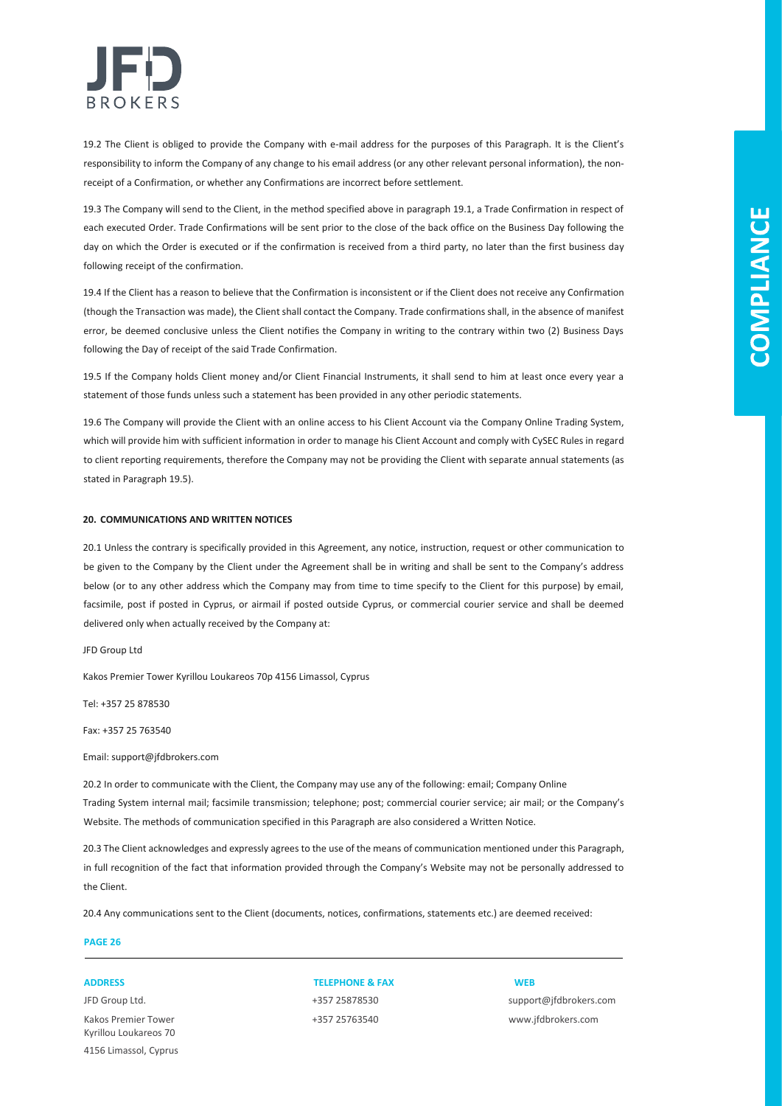

19.2 The Client is obliged to provide the Company with e-mail address for the purposes of this Paragraph. It is the Client's responsibility to inform the Company of any change to his email address (or any other relevant personal information), the nonreceipt of a Confirmation, or whether any Confirmations are incorrect before settlement.

19.3 The Company will send to the Client, in the method specified above in paragraph 19.1, a Trade Confirmation in respect of each executed Order. Trade Confirmations will be sent prior to the close of the back office on the Business Day following the day on which the Order is executed or if the confirmation is received from a third party, no later than the first business day following receipt of the confirmation.

19.4 If the Client has a reason to believe that the Confirmation is inconsistent or if the Client does not receive any Confirmation (though the Transaction was made), the Client shall contact the Company. Trade confirmations shall, in the absence of manifest error, be deemed conclusive unless the Client notifies the Company in writing to the contrary within two (2) Business Days following the Day of receipt of the said Trade Confirmation.

19.5 If the Company holds Client money and/or Client Financial Instruments, it shall send to him at least once every year a statement of those funds unless such a statement has been provided in any other periodic statements.

19.6 The Company will provide the Client with an online access to his Client Account via the Company Online Trading System, which will provide him with sufficient information in order to manage his Client Account and comply with CySEC Rules in regard to client reporting requirements, therefore the Company may not be providing the Client with separate annual statements (as stated in Paragraph 19.5).

#### **20. COMMUNICATIONS AND WRITTEN NOTICES**

20.1 Unless the contrary is specifically provided in this Agreement, any notice, instruction, request or other communication to be given to the Company by the Client under the Agreement shall be in writing and shall be sent to the Company's address below (or to any other address which the Company may from time to time specify to the Client for this purpose) by email, facsimile, post if posted in Cyprus, or airmail if posted outside Cyprus, or commercial courier service and shall be deemed delivered only when actually received by the Company at:

JFD Group Ltd

Kakos Premier Tower Kyrillou Loukareos 70р 4156 Limassol, Cyprus

Tel: +357 25 878530

Fax: +357 25 763540

Email: support@jfdbrokers.com

20.2 In order to communicate with the Client, the Company may use any of the following: email; Company Online Trading System internal mail; facsimile transmission; telephone; post; commercial courier service; air mail; or the Company's Website. The methods of communication specified in this Paragraph are also considered a Written Notice.

20.3 The Client acknowledges and expressly agrees to the use of the means of communication mentioned under this Paragraph, in full recognition of the fact that information provided through the Company's Website may not be personally addressed to the Client.

20.4 Any communications sent to the Client (documents, notices, confirmations, statements etc.) are deemed received:

### **PAGE 26**

Kakos Premier Tower +357 25763540 www.jfdbrokers.com Kyrillou Loukareos 70 4156 Limassol, Cyprus

### **ADDRESS TELEPHONE & FAX WEB**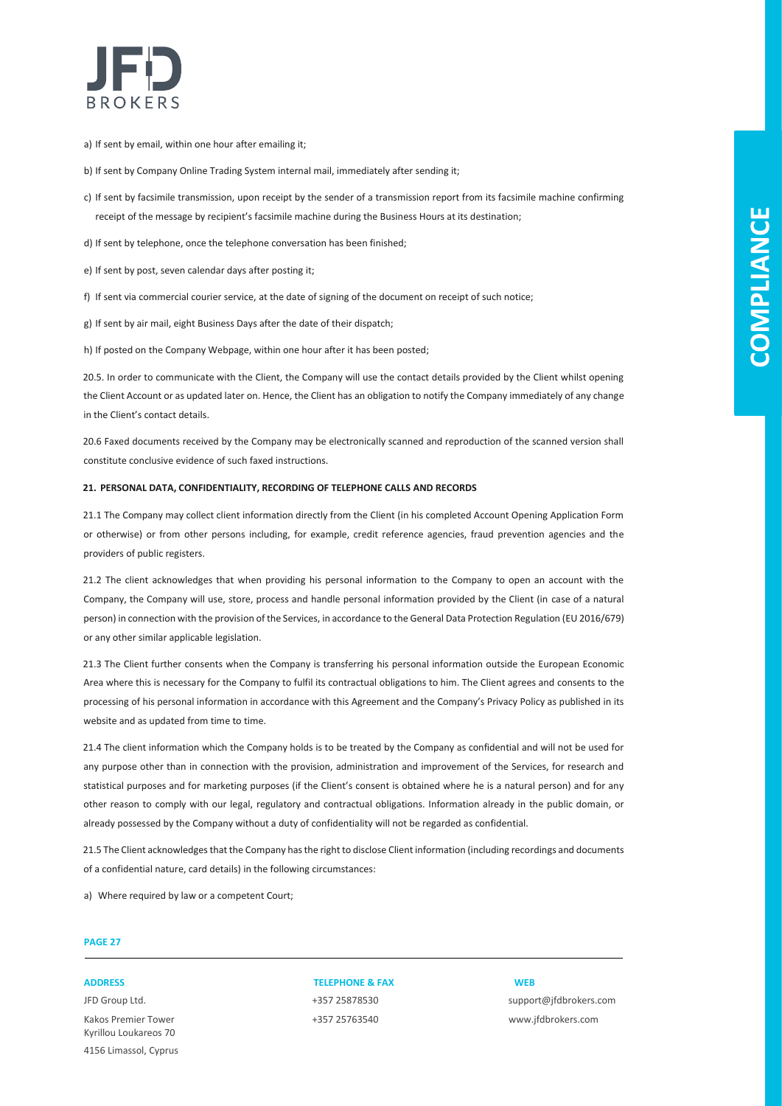

a) If sent by email, within one hour after emailing it;

b) If sent by Company Online Trading System internal mail, immediately after sending it;

c) If sent by facsimile transmission, upon receipt by the sender of a transmission report from its facsimile machine confirming receipt of the message by recipient's facsimile machine during the Business Hours at its destination;

d) If sent by telephone, once the telephone conversation has been finished;

e) If sent by post, seven calendar days after posting it;

f) If sent via commercial courier service, at the date of signing of the document on receipt of such notice;

g) If sent by air mail, eight Business Days after the date of their dispatch;

h) If posted on the Company Webpage, within one hour after it has been posted;

20.5. In order to communicate with the Client, the Company will use the contact details provided by the Client whilst opening the Client Account or as updated later on. Hence, the Client has an obligation to notify the Company immediately of any change in the Client's contact details.

20.6 Faxed documents received by the Company may be electronically scanned and reproduction of the scanned version shall constitute conclusive evidence of such faxed instructions.

#### **21. PERSONAL DATA, CONFIDENTIALITY, RECORDING OF TELEPHONE CALLS AND RECORDS**

21.1 The Company may collect client information directly from the Client (in his completed Account Opening Application Form or otherwise) or from other persons including, for example, credit reference agencies, fraud prevention agencies and the providers of public registers.

21.2 The client acknowledges that when providing his personal information to the Company to open an account with the Company, the Company will use, store, process and handle personal information provided by the Client (in case of a natural person) in connection with the provision of the Services, in accordance to the General Data Protection Regulation (EU 2016/679) or any other similar applicable legislation.

21.3 The Client further consents when the Company is transferring his personal information outside the European Economic Area where this is necessary for the Company to fulfil its contractual obligations to him. The Client agrees and consents to the processing of his personal information in accordance with this Agreement and the Company's Privacy Policy as published in its website and as updated from time to time.

21.4 The client information which the Company holds is to be treated by the Company as confidential and will not be used for any purpose other than in connection with the provision, administration and improvement of the Services, for research and statistical purposes and for marketing purposes (if the Client's consent is obtained where he is a natural person) and for any other reason to comply with our legal, regulatory and contractual obligations. Information already in the public domain, or already possessed by the Company without a duty of confidentiality will not be regarded as confidential.

21.5 The Client acknowledges that the Company has the right to disclose Client information (including recordings and documents of a confidential nature, card details) in the following circumstances:

a) Where required by law or a competent Court;

### **PAGE 27**

Kakos Premier Tower +357 25763540 www.jfdbrokers.com Kyrillou Loukareos 70 4156 Limassol, Cyprus

**ADDRESS TELEPHONE & FAX WEB**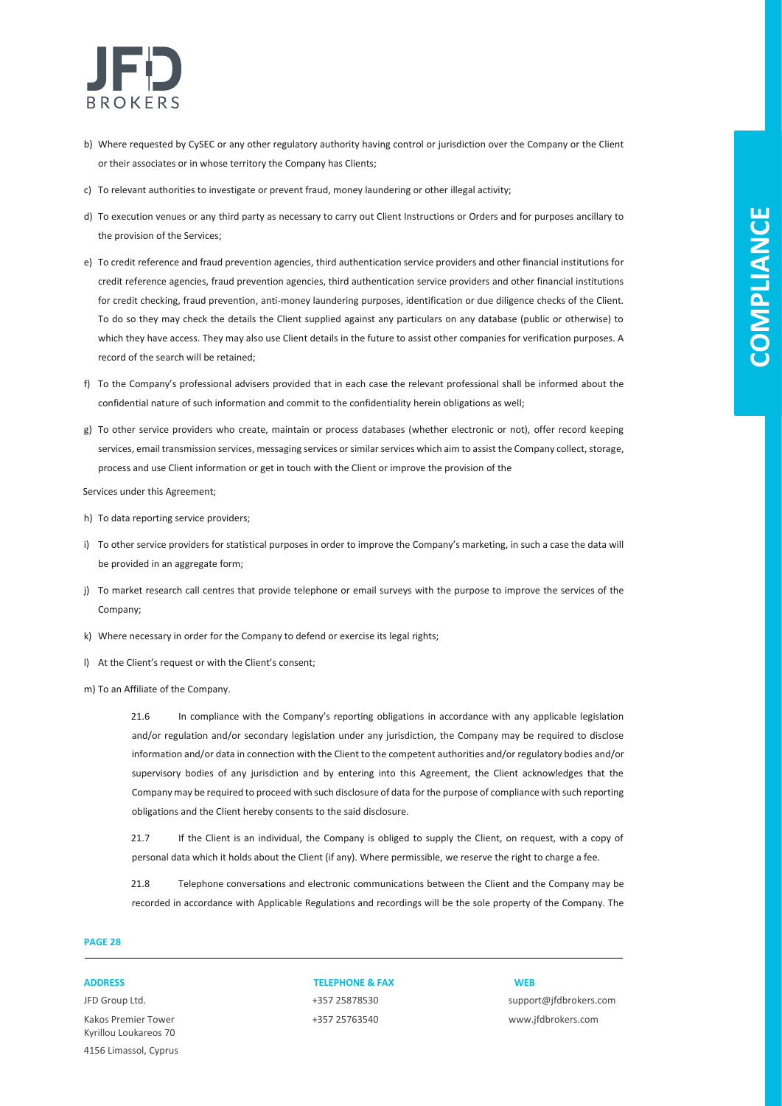

- b) Where requested by CySEC or any other regulatory authority having control or jurisdiction over the Company or the Client or their associates or in whose territory the Company has Clients;
- c) To relevant authorities to investigate or prevent fraud, money laundering or other illegal activity;
- d) To execution venues or any third party as necessary to carry out Client Instructions or Orders and for purposes ancillary to the provision of the Services;
- e) To credit reference and fraud prevention agencies, third authentication service providers and other financial institutions for credit reference agencies, fraud prevention agencies, third authentication service providers and other financial institutions for credit checking, fraud prevention, anti-money laundering purposes, identification or due diligence checks of the Client. To do so they may check the details the Client supplied against any particulars on any database (public or otherwise) to which they have access. They may also use Client details in the future to assist other companies for verification purposes. A record of the search will be retained;
- f) To the Company's professional advisers provided that in each case the relevant professional shall be informed about the confidential nature of such information and commit to the confidentiality herein obligations as well;
- g) To other service providers who create, maintain or process databases (whether electronic or not), offer record keeping services, email transmission services, messaging services or similar services which aim to assist the Company collect, storage, process and use Client information or get in touch with the Client or improve the provision of the

Services under this Agreement;

- h) To data reporting service providers;
- i) To other service providers for statistical purposes in order to improve the Company's marketing, in such a case the data will be provided in an aggregate form;
- j) To market research call centres that provide telephone or email surveys with the purpose to improve the services of the Company;
- k) Where necessary in order for the Company to defend or exercise its legal rights;
- l) At the Client's request or with the Client's consent;
- m) To an Affiliate of the Company.

21.6 In compliance with the Company's reporting obligations in accordance with any applicable legislation and/or regulation and/or secondary legislation under any jurisdiction, the Company may be required to disclose information and/or data in connection with the Client to the competent authorities and/or regulatory bodies and/or supervisory bodies of any jurisdiction and by entering into this Agreement, the Client acknowledges that the Company may be required to proceed with such disclosure of data for the purpose of compliance with such reporting obligations and the Client hereby consents to the said disclosure.

21.7 If the Client is an individual, the Company is obliged to supply the Client, on request, with a copy of personal data which it holds about the Client (if any). Where permissible, we reserve the right to charge a fee.

21.8 Telephone conversations and electronic communications between the Client and the Company may be recorded in accordance with Applicable Regulations and recordings will be the sole property of the Company. The

### **PAGE 28**

Kakos Premier Tower +357 25763540 www.jfdbrokers.com Kyrillou Loukareos 70 4156 Limassol, Cyprus

### **ADDRESS TELEPHONE & FAX WEB**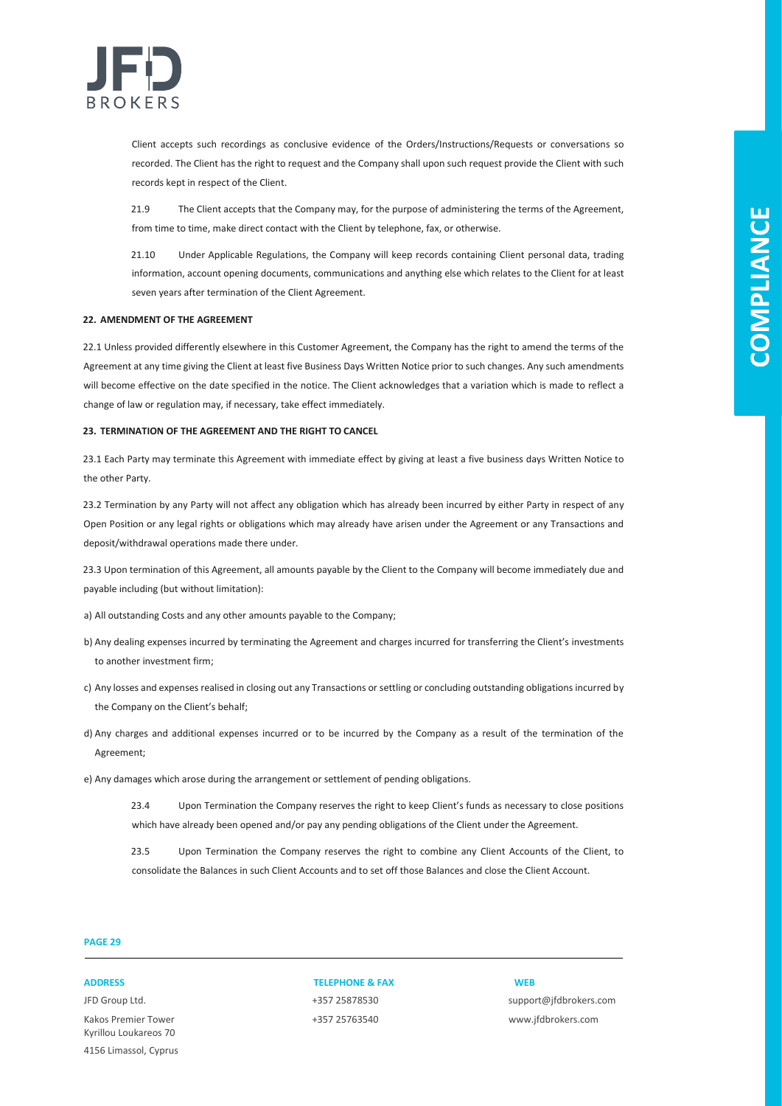

Client accepts such recordings as conclusive evidence of the Orders/Instructions/Requests or conversations so recorded. The Client has the right to request and the Company shall upon such request provide the Client with such records kept in respect of the Client.

21.9 The Client accepts that the Company may, for the purpose of administering the terms of the Agreement, from time to time, make direct contact with the Client by telephone, fax, or otherwise.

21.10 Under Applicable Regulations, the Company will keep records containing Client personal data, trading information, account opening documents, communications and anything else which relates to the Client for at least seven years after termination of the Client Agreement.

#### **22. AMENDMENT OF THE AGREEMENT**

22.1 Unless provided differently elsewhere in this Customer Agreement, the Company has the right to amend the terms of the Agreement at any time giving the Client at least five Business Days Written Notice prior to such changes. Any such amendments will become effective on the date specified in the notice. The Client acknowledges that a variation which is made to reflect a change of law or regulation may, if necessary, take effect immediately.

#### **23. TERMINATION OF THE AGREEMENT AND THE RIGHT TO CANCEL**

23.1 Each Party may terminate this Agreement with immediate effect by giving at least a five business days Written Notice to the other Party.

23.2 Termination by any Party will not affect any obligation which has already been incurred by either Party in respect of any Open Position or any legal rights or obligations which may already have arisen under the Agreement or any Transactions and deposit/withdrawal operations made there under.

23.3 Upon termination of this Agreement, all amounts payable by the Client to the Company will become immediately due and payable including (but without limitation):

- a) All outstanding Costs and any other amounts payable to the Company;
- b) Any dealing expenses incurred by terminating the Agreement and charges incurred for transferring the Client's investments to another investment firm;
- c) Any losses and expenses realised in closing out any Transactions or settling or concluding outstanding obligations incurred by the Company on the Client's behalf;
- d) Any charges and additional expenses incurred or to be incurred by the Company as a result of the termination of the Agreement;
- e) Any damages which arose during the arrangement or settlement of pending obligations.
	- 23.4 Upon Termination the Company reserves the right to keep Client's funds as necessary to close positions which have already been opened and/or pay any pending obligations of the Client under the Agreement.

23.5 Upon Termination the Company reserves the right to combine any Client Accounts of the Client, to consolidate the Balances in such Client Accounts and to set off those Balances and close the Client Account.

### **PAGE 29**

JFD Group Ltd. +357 25878530 support@jfdbrokers.com Kakos Premier Tower +357 25763540 www.jfdbrokers.com Kyrillou Loukareos 70 4156 Limassol, Cyprus

### **ADDRESS TELEPHONE & FAX WEB**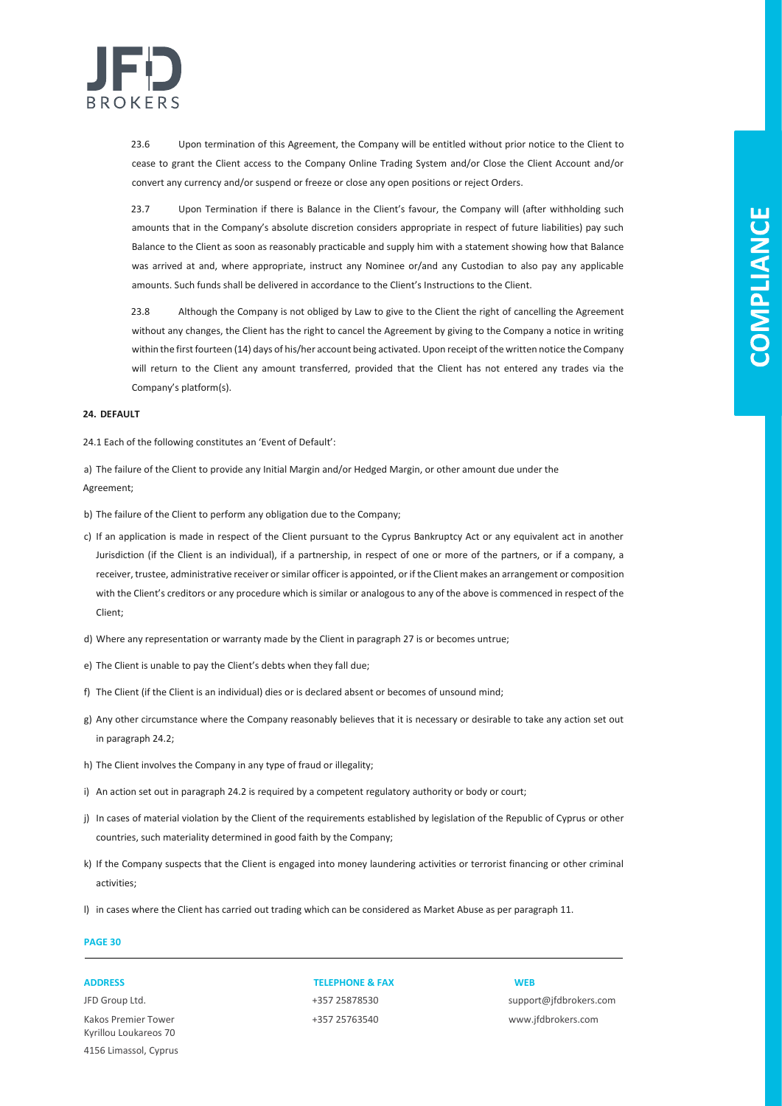

23.6 Upon termination of this Agreement, the Company will be entitled without prior notice to the Client to cease to grant the Client access to the Company Online Trading System and/or Close the Client Account and/or convert any currency and/or suspend or freeze or close any open positions or reject Orders.

23.7 Upon Termination if there is Balance in the Client's favour, the Company will (after withholding such amounts that in the Company's absolute discretion considers appropriate in respect of future liabilities) pay such Balance to the Client as soon as reasonably practicable and supply him with a statement showing how that Balance was arrived at and, where appropriate, instruct any Nominee or/and any Custodian to also pay any applicable amounts. Such funds shall be delivered in accordance to the Client's Instructions to the Client.

23.8 Although the Company is not obliged by Law to give to the Client the right of cancelling the Agreement without any changes, the Client has the right to cancel the Agreement by giving to the Company a notice in writing within the first fourteen (14) days of his/her account being activated. Upon receipt of the written notice the Company will return to the Client any amount transferred, provided that the Client has not entered any trades via the Company's platform(s).

### **24. DEFAULT**

24.1 Each of the following constitutes an 'Event of Default':

a) The failure of the Client to provide any Initial Margin and/or Hedged Margin, or other amount due under the Agreement;

b) The failure of the Client to perform any obligation due to the Company;

- c) If an application is made in respect of the Client pursuant to the Cyprus Bankruptcy Act or any equivalent act in another Jurisdiction (if the Client is an individual), if a partnership, in respect of one or more of the partners, or if a company, a receiver, trustee, administrative receiver or similar officer is appointed, or if the Client makes an arrangement or composition with the Client's creditors or any procedure which is similar or analogous to any of the above is commenced in respect of the Client;
- d) Where any representation or warranty made by the Client in paragraph 27 is or becomes untrue;
- e) The Client is unable to pay the Client's debts when they fall due;
- f) The Client (if the Client is an individual) dies or is declared absent or becomes of unsound mind;
- g) Any other circumstance where the Company reasonably believes that it is necessary or desirable to take any action set out in paragraph 24.2;
- h) The Client involves the Company in any type of fraud or illegality;
- i) An action set out in paragraph 24.2 is required by a competent regulatory authority or body or court;
- j) In cases of material violation by the Client of the requirements established by legislation of the Republic of Cyprus or other countries, such materiality determined in good faith by the Company;
- k) If the Company suspects that the Client is engaged into money laundering activities or terrorist financing or other criminal activities;
- l) in cases where the Client has carried out trading which can be considered as Market Abuse as per paragraph 11.

### **PAGE 30**

Kakos Premier Tower +357 25763540 www.jfdbrokers.com Kyrillou Loukareos 70 4156 Limassol, Cyprus

### **ADDRESS TELEPHONE & FAX WEB**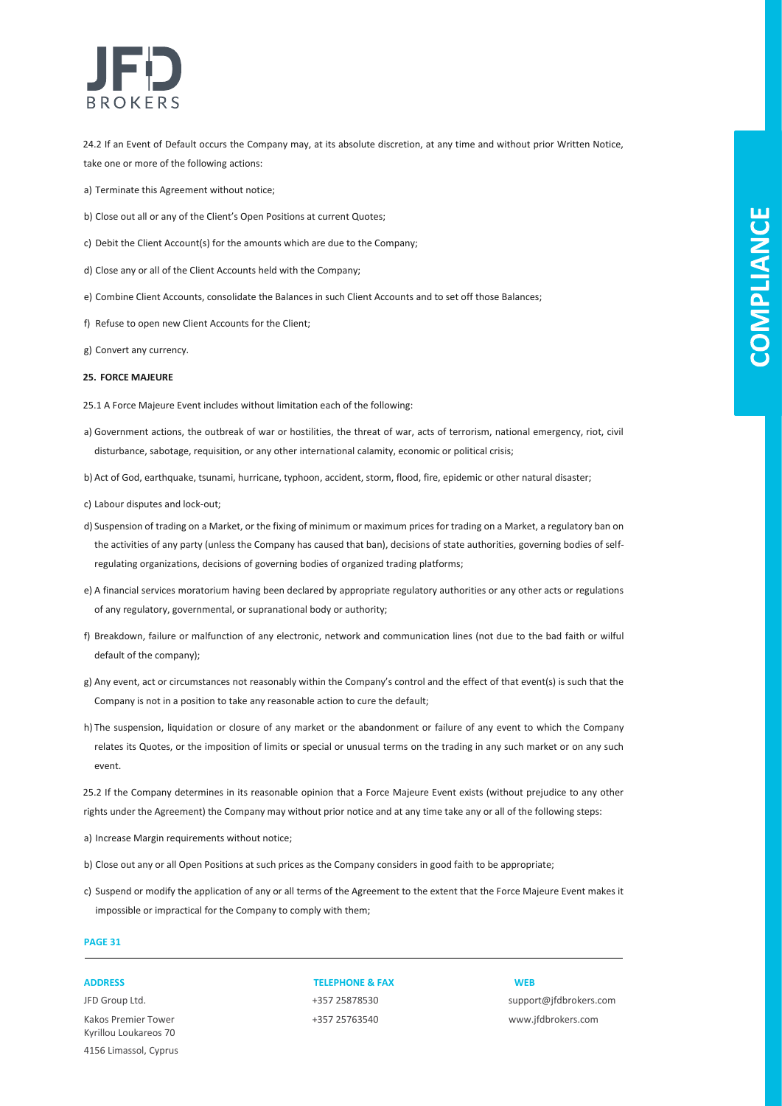

24.2 If an Event of Default occurs the Company may, at its absolute discretion, at any time and without prior Written Notice, take one or more of the following actions:

- a) Terminate this Agreement without notice;
- b) Close out all or any of the Client's Open Positions at current Quotes;
- c) Debit the Client Account(s) for the amounts which are due to the Company;
- d) Close any or all of the Client Accounts held with the Company;
- e) Combine Client Accounts, consolidate the Balances in such Client Accounts and to set off those Balances;
- f) Refuse to open new Client Accounts for the Client;
- g) Convert any currency.

#### **25. FORCE MAJEURE**

- 25.1 A Force Majeure Event includes without limitation each of the following:
- a) Government actions, the outbreak of war or hostilities, the threat of war, acts of terrorism, national emergency, riot, civil disturbance, sabotage, requisition, or any other international calamity, economic or political crisis;
- b) Act of God, earthquake, tsunami, hurricane, typhoon, accident, storm, flood, fire, epidemic or other natural disaster;
- c) Labour disputes and lock-out;
- d) Suspension of trading on a Market, or the fixing of minimum or maximum prices for trading on a Market, a regulatory ban on the activities of any party (unless the Company has caused that ban), decisions of state authorities, governing bodies of selfregulating organizations, decisions of governing bodies of organized trading platforms;
- e) A financial services moratorium having been declared by appropriate regulatory authorities or any other acts or regulations of any regulatory, governmental, or supranational body or authority;
- f) Breakdown, failure or malfunction of any electronic, network and communication lines (not due to the bad faith or wilful default of the company);
- g) Any event, act or circumstances not reasonably within the Company's control and the effect of that event(s) is such that the Company is not in a position to take any reasonable action to cure the default;
- h) The suspension, liquidation or closure of any market or the abandonment or failure of any event to which the Company relates its Quotes, or the imposition of limits or special or unusual terms on the trading in any such market or on any such event.

25.2 If the Company determines in its reasonable opinion that a Force Majeure Event exists (without prejudice to any other rights under the Agreement) the Company may without prior notice and at any time take any or all of the following steps:

a) Increase Margin requirements without notice;

- b) Close out any or all Open Positions at such prices as the Company considers in good faith to be appropriate;
- c) Suspend or modify the application of any or all terms of the Agreement to the extent that the Force Majeure Event makes it impossible or impractical for the Company to comply with them;

### **PAGE 31**

Kakos Premier Tower +357 25763540 www.jfdbrokers.com Kyrillou Loukareos 70 4156 Limassol, Cyprus

**ADDRESS TELEPHONE & FAX WEB**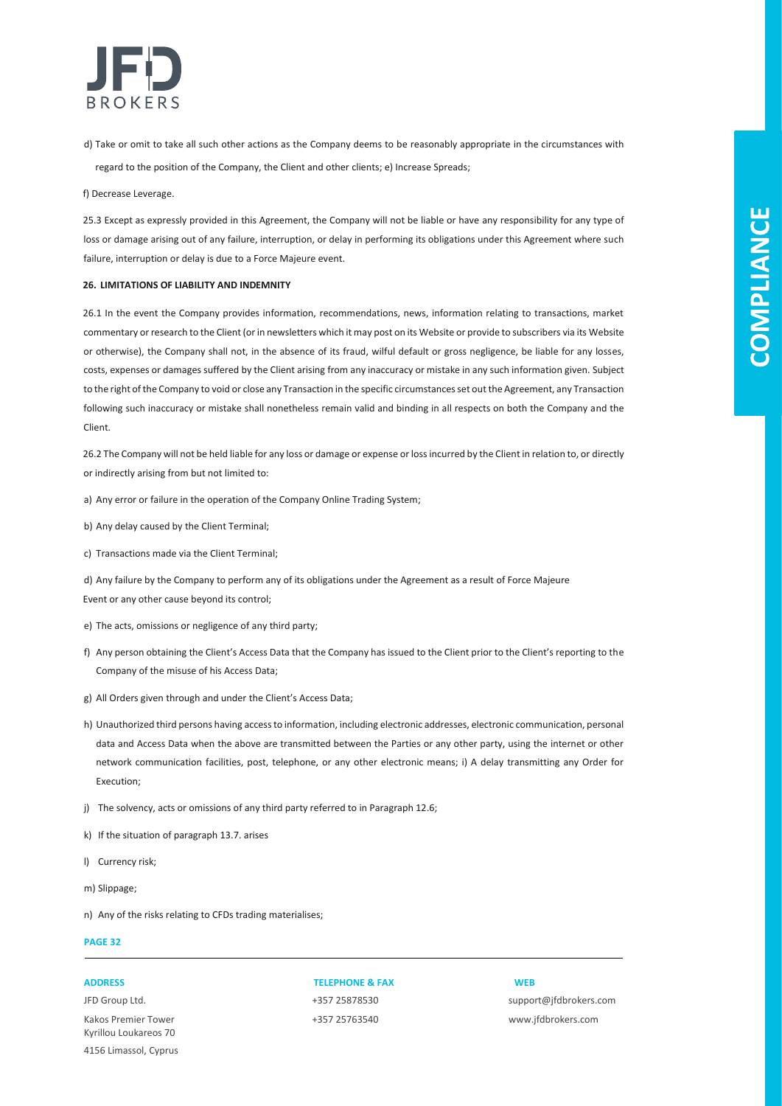

d) Take or omit to take all such other actions as the Company deems to be reasonably appropriate in the circumstances with regard to the position of the Company, the Client and other clients; e) Increase Spreads;

f) Decrease Leverage.

25.3 Except as expressly provided in this Agreement, the Company will not be liable or have any responsibility for any type of loss or damage arising out of any failure, interruption, or delay in performing its obligations under this Agreement where such failure, interruption or delay is due to a Force Majeure event.

#### **26. LIMITATIONS OF LIABILITY AND INDEMNITY**

26.1 In the event the Company provides information, recommendations, news, information relating to transactions, market commentary or research to the Client (or in newsletters which it may post on its Website or provide to subscribers via its Website or otherwise), the Company shall not, in the absence of its fraud, wilful default or gross negligence, be liable for any losses, costs, expenses or damages suffered by the Client arising from any inaccuracy or mistake in any such information given. Subject to the right of the Company to void or close any Transaction in the specific circumstances set out the Agreement, any Transaction following such inaccuracy or mistake shall nonetheless remain valid and binding in all respects on both the Company and the Client.

26.2 The Company will not be held liable for any loss or damage or expense or loss incurred by the Client in relation to, or directly or indirectly arising from but not limited to:

- a) Any error or failure in the operation of the Company Online Trading System;
- b) Any delay caused by the Client Terminal;
- c) Transactions made via the Client Terminal;

d) Any failure by the Company to perform any of its obligations under the Agreement as a result of Force Majeure Event or any other cause beyond its control;

- e) The acts, omissions or negligence of any third party;
- f) Any person obtaining the Client's Access Data that the Company has issued to the Client prior to the Client's reporting to the Company of the misuse of his Access Data;
- g) All Orders given through and under the Client's Access Data;
- h) Unauthorized third persons having access to information, including electronic addresses, electronic communication, personal data and Access Data when the above are transmitted between the Parties or any other party, using the internet or other network communication facilities, post, telephone, or any other electronic means; i) A delay transmitting any Order for Execution;
- j) The solvency, acts or omissions of any third party referred to in Paragraph 12.6;
- k) If the situation of paragraph 13.7. arises
- l) Currency risk;
- m) Slippage;
- n) Any of the risks relating to CFDs trading materialises;

### **PAGE 32**

Kakos Premier Tower +357 25763540 www.jfdbrokers.com Kyrillou Loukareos 70 4156 Limassol, Cyprus

### **ADDRESS TELEPHONE & FAX WEB**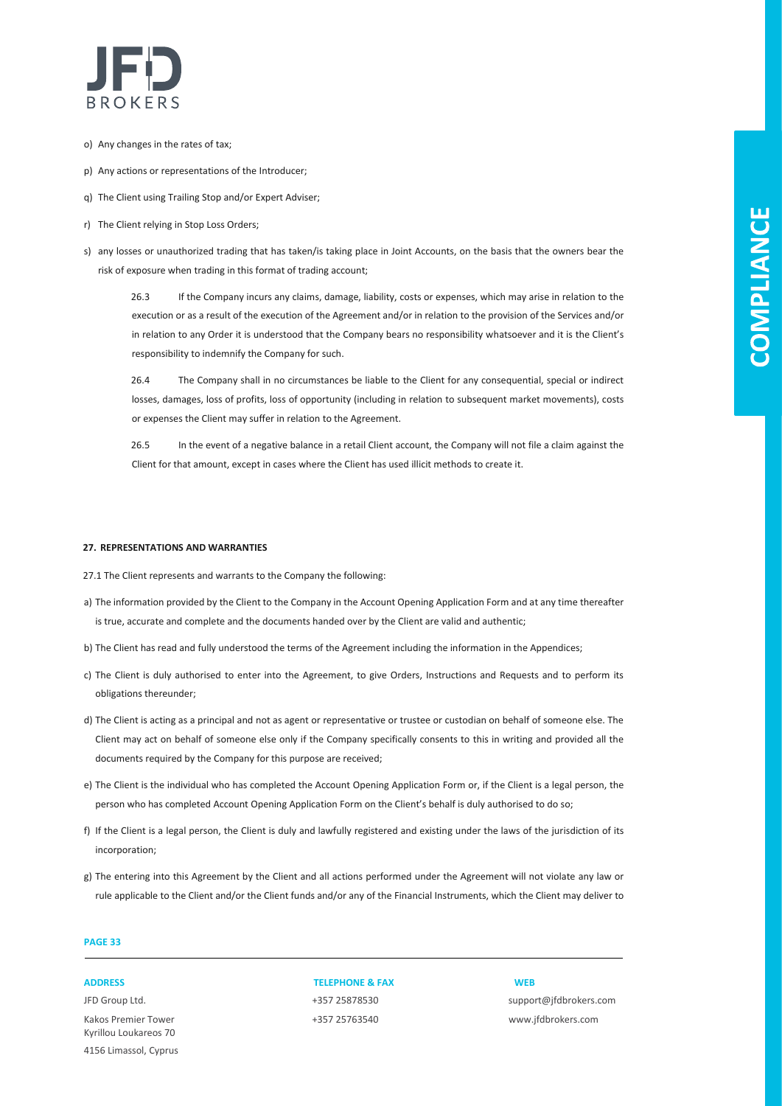

- o) Any changes in the rates of tax;
- p) Any actions or representations of the Introducer;
- q) The Client using Trailing Stop and/or Expert Adviser;
- r) The Client relying in Stop Loss Orders;
- s) any losses or unauthorized trading that has taken/is taking place in Joint Accounts, on the basis that the owners bear the risk of exposure when trading in this format of trading account;

26.3 If the Company incurs any claims, damage, liability, costs or expenses, which may arise in relation to the execution or as a result of the execution of the Agreement and/or in relation to the provision of the Services and/or in relation to any Order it is understood that the Company bears no responsibility whatsoever and it is the Client's responsibility to indemnify the Company for such.

26.4 The Company shall in no circumstances be liable to the Client for any consequential, special or indirect losses, damages, loss of profits, loss of opportunity (including in relation to subsequent market movements), costs or expenses the Client may suffer in relation to the Agreement.

26.5 In the event of a negative balance in a retail Client account, the Company will not file a claim against the Client for that amount, except in cases where the Client has used illicit methods to create it.

#### **27. REPRESENTATIONS AND WARRANTIES**

- 27.1 The Client represents and warrants to the Company the following:
- a) The information provided by the Client to the Company in the Account Opening Application Form and at any time thereafter is true, accurate and complete and the documents handed over by the Client are valid and authentic;
- b) The Client has read and fully understood the terms of the Agreement including the information in the Appendices;
- c) The Client is duly authorised to enter into the Agreement, to give Orders, Instructions and Requests and to perform its obligations thereunder;
- d) The Client is acting as a principal and not as agent or representative or trustee or custodian on behalf of someone else. The Client may act on behalf of someone else only if the Company specifically consents to this in writing and provided all the documents required by the Company for this purpose are received;
- e) The Client is the individual who has completed the Account Opening Application Form or, if the Client is a legal person, the person who has completed Account Opening Application Form on the Client's behalf is duly authorised to do so;
- f) If the Client is a legal person, the Client is duly and lawfully registered and existing under the laws of the jurisdiction of its incorporation;
- g) The entering into this Agreement by the Client and all actions performed under the Agreement will not violate any law or rule applicable to the Client and/or the Client funds and/or any of the Financial Instruments, which the Client may deliver to

### **PAGE 33**

Kakos Premier Tower +357 25763540 www.jfdbrokers.com Kyrillou Loukareos 70 4156 Limassol, Cyprus

**ADDRESS TELEPHONE & FAX WEB**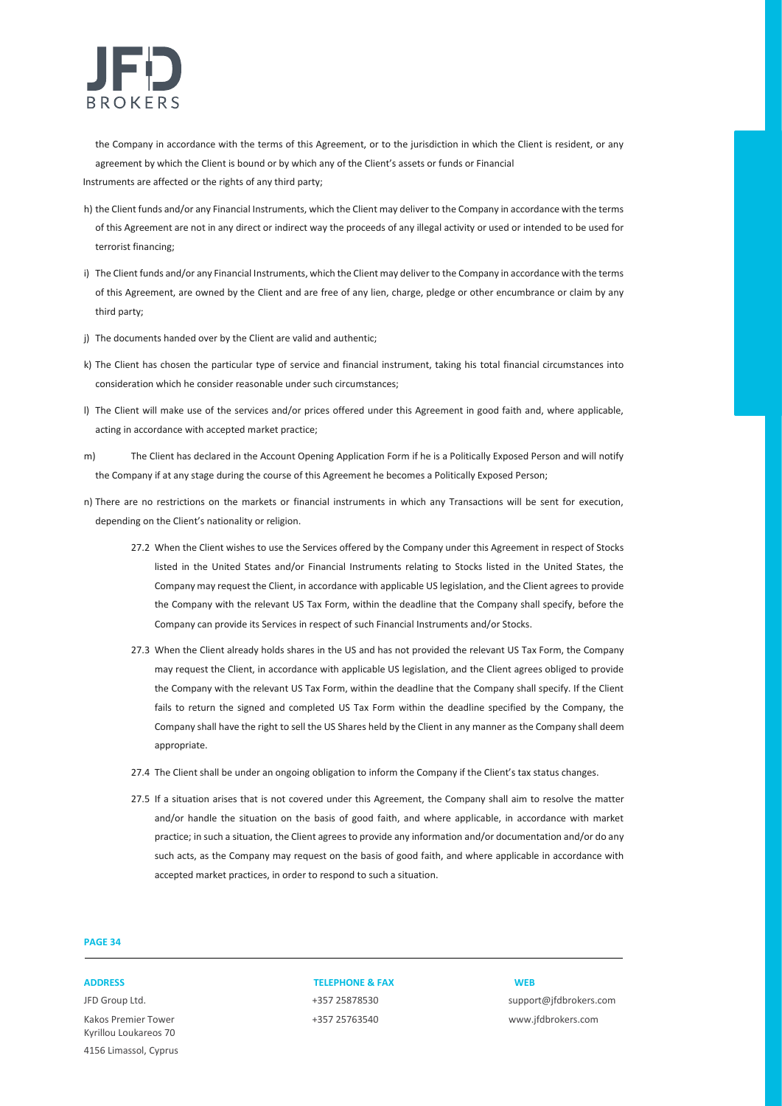

the Company in accordance with the terms of this Agreement, or to the jurisdiction in which the Client is resident, or any agreement by which the Client is bound or by which any of the Client's assets or funds or Financial

Instruments are affected or the rights of any third party;

- h) the Client funds and/or any Financial Instruments, which the Client may deliver to the Company in accordance with the terms of this Agreement are not in any direct or indirect way the proceeds of any illegal activity or used or intended to be used for terrorist financing;
- i) The Client funds and/or any Financial Instruments, which the Client may deliver to the Company in accordance with the terms of this Agreement, are owned by the Client and are free of any lien, charge, pledge or other encumbrance or claim by any third party;
- j) The documents handed over by the Client are valid and authentic;
- k) The Client has chosen the particular type of service and financial instrument, taking his total financial circumstances into consideration which he consider reasonable under such circumstances;
- l) The Client will make use of the services and/or prices offered under this Agreement in good faith and, where applicable, acting in accordance with accepted market practice;
- m) The Client has declared in the Account Opening Application Form if he is a Politically Exposed Person and will notify the Company if at any stage during the course of this Agreement he becomes a Politically Exposed Person;
- n) There are no restrictions on the markets or financial instruments in which any Transactions will be sent for execution, depending on the Client's nationality or religion.
	- 27.2 When the Client wishes to use the Services offered by the Company under this Agreement in respect of Stocks listed in the United States and/or Financial Instruments relating to Stocks listed in the United States, the Company may request the Client, in accordance with applicable US legislation, and the Client agrees to provide the Company with the relevant US Tax Form, within the deadline that the Company shall specify, before the Company can provide its Services in respect of such Financial Instruments and/or Stocks.
	- 27.3 When the Client already holds shares in the US and has not provided the relevant US Tax Form, the Company may request the Client, in accordance with applicable US legislation, and the Client agrees obliged to provide the Company with the relevant US Tax Form, within the deadline that the Company shall specify. If the Client fails to return the signed and completed US Tax Form within the deadline specified by the Company, the Company shall have the right to sell the US Shares held by the Client in any manner as the Company shall deem appropriate.
	- 27.4 The Client shall be under an ongoing obligation to inform the Company if the Client's tax status changes.
	- 27.5 If a situation arises that is not covered under this Agreement, the Company shall aim to resolve the matter and/or handle the situation on the basis of good faith, and where applicable, in accordance with market practice; in such a situation, the Client agrees to provide any information and/or documentation and/or do any such acts, as the Company may request on the basis of good faith, and where applicable in accordance with accepted market practices, in order to respond to such a situation.

### **PAGE 34**

Kakos Premier Tower +357 25763540 www.jfdbrokers.com Kyrillou Loukareos 70 4156 Limassol, Cyprus

#### **ADDRESS TELEPHONE & FAX WEB**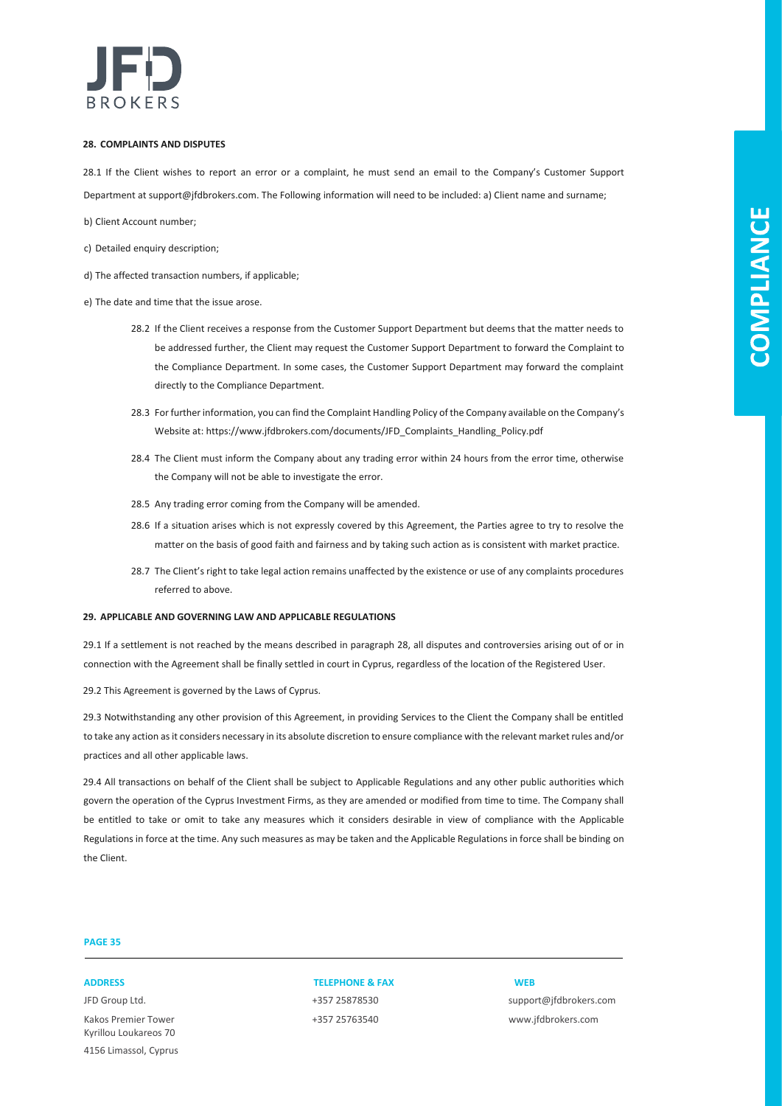

### **28. COMPLAINTS AND DISPUTES**

28.1 If the Client wishes to report an error or a complaint, he must send an email to the Company's Customer Support Department at support@jfdbrokers.com. The Following information will need to be included: a) Client name and surname;

- b) Client Account number;
- c) Detailed enquiry description;
- d) The affected transaction numbers, if applicable;
- e) The date and time that the issue arose.
	- 28.2 If the Client receives a response from the Customer Support Department but deems that the matter needs to be addressed further, the Client may request the Customer Support Department to forward the Complaint to the Compliance Department. In some cases, the Customer Support Department may forward the complaint directly to the Compliance Department.
	- 28.3 For further information, you can find the Complaint Handling Policy of the Company available on the Company's Website at: https://www.jfdbrokers.com/documents/JFD\_Complaints\_Handling\_Policy.pdf
	- 28.4 The Client must inform the Company about any trading error within 24 hours from the error time, otherwise the Company will not be able to investigate the error.
	- 28.5 Any trading error coming from the Company will be amended.
	- 28.6 If a situation arises which is not expressly covered by this Agreement, the Parties agree to try to resolve the matter on the basis of good faith and fairness and by taking such action as is consistent with market practice.
	- 28.7 The Client's right to take legal action remains unaffected by the existence or use of any complaints procedures referred to above.

#### **29. APPLICABLE AND GOVERNING LAW AND APPLICABLE REGULATIONS**

29.1 If a settlement is not reached by the means described in paragraph 28, all disputes and controversies arising out of or in connection with the Agreement shall be finally settled in court in Cyprus, regardless of the location of the Registered User.

29.2 This Agreement is governed by the Laws of Cyprus.

29.3 Notwithstanding any other provision of this Agreement, in providing Services to the Client the Company shall be entitled to take any action as it considers necessary in its absolute discretion to ensure compliance with the relevant market rules and/or practices and all other applicable laws.

29.4 All transactions on behalf of the Client shall be subject to Applicable Regulations and any other public authorities which govern the operation of the Cyprus Investment Firms, as they are amended or modified from time to time. The Company shall be entitled to take or omit to take any measures which it considers desirable in view of compliance with the Applicable Regulations in force at the time. Any such measures as may be taken and the Applicable Regulations in force shall be binding on the Client.

### **PAGE 35**

Kakos Premier Tower +357 25763540 www.jfdbrokers.com Kyrillou Loukareos 70 4156 Limassol, Cyprus

### **ADDRESS TELEPHONE & FAX WEB**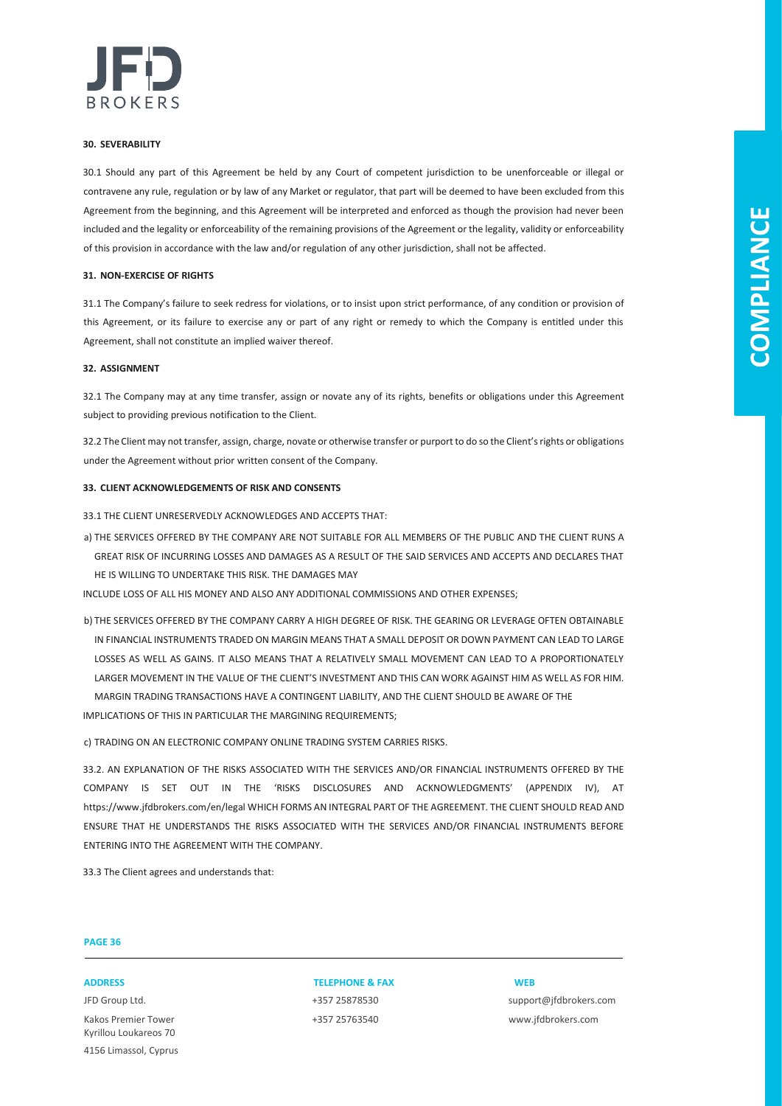

#### **30. SEVERABILITY**

30.1 Should any part of this Agreement be held by any Court of competent jurisdiction to be unenforceable or illegal or contravene any rule, regulation or by law of any Market or regulator, that part will be deemed to have been excluded from this Agreement from the beginning, and this Agreement will be interpreted and enforced as though the provision had never been included and the legality or enforceability of the remaining provisions of the Agreement or the legality, validity or enforceability of this provision in accordance with the law and/or regulation of any other jurisdiction, shall not be affected.

#### **31. NON-EXERCISE OF RIGHTS**

31.1 The Company's failure to seek redress for violations, or to insist upon strict performance, of any condition or provision of this Agreement, or its failure to exercise any or part of any right or remedy to which the Company is entitled under this Agreement, shall not constitute an implied waiver thereof.

### **32. ASSIGNMENT**

32.1 The Company may at any time transfer, assign or novate any of its rights, benefits or obligations under this Agreement subject to providing previous notification to the Client.

32.2 The Client may not transfer, assign, charge, novate or otherwise transfer or purport to do so the Client's rights or obligations under the Agreement without prior written consent of the Company.

#### **33. CLIENT ACKNOWLEDGEMENTS OF RISK AND CONSENTS**

33.1 THE CLIENT UNRESERVEDLY ACKNOWLEDGES AND ACCEPTS THAT:

a) THE SERVICES OFFERED BY THE COMPANY ARE NOT SUITABLE FOR ALL MEMBERS OF THE PUBLIC AND THE CLIENT RUNS A GREAT RISK OF INCURRING LOSSES AND DAMAGES AS A RESULT OF THE SAID SERVICES AND ACCEPTS AND DECLARES THAT HE IS WILLING TO UNDERTAKE THIS RISK. THE DAMAGES MAY

INCLUDE LOSS OF ALL HIS MONEY AND ALSO ANY ADDITIONAL COMMISSIONS AND OTHER EXPENSES;

b) THE SERVICES OFFERED BY THE COMPANY CARRY A HIGH DEGREE OF RISK. THE GEARING OR LEVERAGE OFTEN OBTAINABLE IN FINANCIAL INSTRUMENTS TRADED ON MARGIN MEANS THAT A SMALL DEPOSIT OR DOWN PAYMENT CAN LEAD TO LARGE LOSSES AS WELL AS GAINS. IT ALSO MEANS THAT A RELATIVELY SMALL MOVEMENT CAN LEAD TO A PROPORTIONATELY LARGER MOVEMENT IN THE VALUE OF THE CLIENT'S INVESTMENT AND THIS CAN WORK AGAINST HIM AS WELL AS FOR HIM. MARGIN TRADING TRANSACTIONS HAVE A CONTINGENT LIABILITY, AND THE CLIENT SHOULD BE AWARE OF THE IMPLICATIONS OF THIS IN PARTICULAR THE MARGINING REQUIREMENTS;

c) TRADING ON AN ELECTRONIC COMPANY ONLINE TRADING SYSTEM CARRIES RISKS.

33.2. AN EXPLANATION OF THE RISKS ASSOCIATED WITH THE SERVICES AND/OR FINANCIAL INSTRUMENTS OFFERED BY THE COMPANY IS SET OUT IN THE 'RISKS DISCLOSURES AND ACKNOWLEDGMENTS' (APPENDIX IV), AT https://www.jfdbrokers.com/en/legal WHICH FORMS AN INTEGRAL PART OF THE AGREEMENT. THE CLIENT SHOULD READ AND ENSURE THAT HE UNDERSTANDS THE RISKS ASSOCIATED WITH THE SERVICES AND/OR FINANCIAL INSTRUMENTS BEFORE ENTERING INTO THE AGREEMENT WITH THE COMPANY.

33.3 The Client agrees and understands that:

### **PAGE 36**

Kakos Premier Tower +357 25763540 www.jfdbrokers.com Kyrillou Loukareos 70 4156 Limassol, Cyprus

**ADDRESS TELEPHONE & FAX WEB**